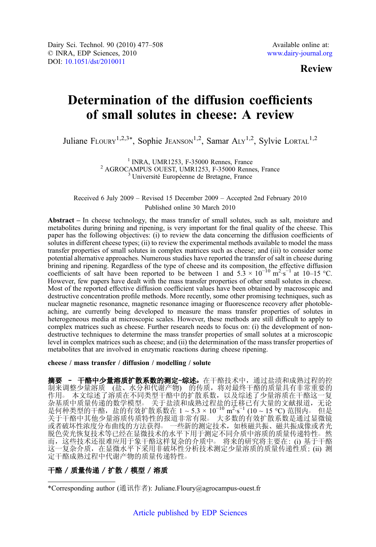# Review

# Determination of the diffusion coefficients of small solutes in cheese: A review

Juliane FLOURY<sup>1,2,3\*</sup>, Sophie JEANSON<sup>1,2</sup>, Samar ALY<sup>1,2</sup>, Sylvie LORTAL<sup>1,2</sup>

<sup>1</sup> INRA, UMR1253, F-35000 Rennes, France  ${}^{2}$  AGROCAMPUS OUEST, UMR1253, F-35000 Rennes, France  ${}^{3}$  Université Européenne de Bretagne, France

Received 6 July 2009 – Revised 15 December 2009 – Accepted 2nd February 2010 Published online 30 March 2010

Abstract – In cheese technology, the mass transfer of small solutes, such as salt, moisture and metabolites during brining and ripening, is very important for the final quality of the cheese. This paper has the following objectives: (i) to review the data concerning the diffusion coefficients of solutes in different cheese types; (ii) to review the experimental methods available to model the mass transfer properties of small solutes in complex matrices such as cheese; and (iii) to consider some potential alternative approaches. Numerous studies have reported the transfer of salt in cheese during brining and ripening. Regardless of the type of cheese and its composition, the effective diffusion coefficients of salt have been reported to be between 1 and  $5.3 \times 10^{-10}$  m<sup>2</sup>·s<sup>-1</sup> at 10–15 °C. However, few papers have dealt with the mass transfer properties of other small solutes in cheese. Most of the reported effective diffusion coefficient values have been obtained by macroscopic and destructive concentration profile methods. More recently, some other promising techniques, such as nuclear magnetic resonance, magnetic resonance imaging or fluorescence recovery after photobleaching, are currently being developed to measure the mass transfer properties of solutes in heterogeneous media at microscopic scales. However, these methods are still difficult to apply to complex matrices such as cheese. Further research needs to focus on: (i) the development of nondestructive techniques to determine the mass transfer properties of small solutes at a microscopic level in complex matrices such as cheese; and (ii) the determination of the mass transfer properties of metabolites that are involved in enzymatic reactions during cheese ripening.

# cheese / mass transfer / diffusion / modelling / solute

摘要 - 干酪中少量溶质扩散系数的测定-综述。在干酪技术中,通过盐渍和成熟过程的控 制来调整少量溶质 (盐、水分和代谢产物) 的传质,将对最终干酪的质量具有非常重要的 作用。本文综述了溶质在不同类型干酪中的扩散系数,以及综述了少量溶质在干酪这一复 杂基质中质量传递的数学模型。 关于盐渍和成熟过程盐的迁移已有大量的文献报道,无论<br>是何种类型的干酪,盐的有效扩散系数在 1 ~ 5.3 × 10<sup>−10</sup> m<sup>2</sup>·s<sup>−1</sup> (10 ~ 15 °C) 范围内。 但是 ○ 11113年12月1日 - 11212年12月12日 - 1212年12月12日 - 1222年12月12日 - 1222年12月12日 - 1222年12月12日 - 1222年12月12日 - 1222年12月 或者破坏性浓度分布曲线的方法获得○ 一些新的测定技术,如核磁共振、磁共振成像或者光 脱色荧光恢复技术等已经在显微技术的水平下用于测定不同介质中溶质的质量传递特性。然 而, 这些技术还很难应用于象干酪这样复杂的介质中。 将来的研究将主要在: (i) 基于干酪 这一复杂介质,在显微水平下采用非破坏性分析技术测定少量溶质的质量传递性质; (ii) 测 定干酪成熟过程中代谢产物的质量传递特性。

# 干酪 / 质量传递 / 扩散 / 模型 / 溶质

<sup>\*</sup>Corresponding author (通讯作者): Juliane.Floury@agrocampus-ouest.fr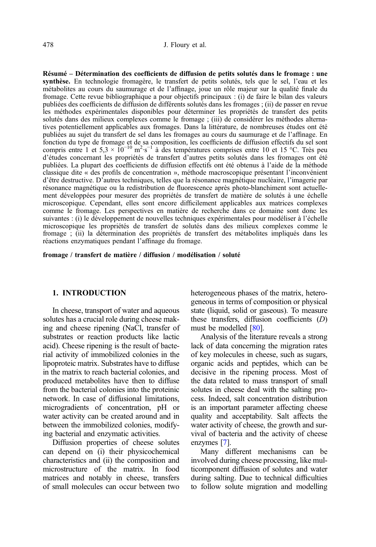# 478 J. Floury et al.

Résumé – Détermination des coefficients de diffusion de petits solutés dans le fromage : une synthèse. En technologie fromagère, le transfert de petits solutés, tels que le sel, l'eau et les métabolites au cours du saumurage et de l'affinage, joue un rôle majeur sur la qualité finale du fromage. Cette revue bibliographique a pour objectifs principaux : (i) de faire le bilan des valeurs publiées des coefficients de diffusion de différents solutés dans les fromages ; (ii) de passer en revue les méthodes expérimentales disponibles pour déterminer les propriétés de transfert des petits solutés dans des milieux complexes comme le fromage ; (iii) de considérer les méthodes alternatives potentiellement applicables aux fromages. Dans la littérature, de nombreuses études ont été publiées au sujet du transfert de sel dans les fromages au cours du saumurage et de l'affinage. En fonction du type de fromage et de sa composition, les coefficients de diffusion effectifs du sel sont compris entre 1 et 5,3 × 10<sup>-10</sup> m<sup>2</sup>·s<sup>-1</sup> à des températures comprises entre 10 et 15 °C. Très peu d'études concernant les propriétés de transfert d'autres petits solutés dans les fromages ont été publiées. La plupart des coefficients de diffusion effectifs ont été obtenus à l'aide de la méthode classique dite « des profils de concentration », méthode macroscopique présentant l'inconvénient d'être destructive. D'autres techniques, telles que la résonance magnétique nucléaire, l'imagerie par résonance magnétique ou la redistribution de fluorescence après photo-blanchiment sont actuellement développées pour mesurer des propriétés de transfert de matière de solutés à une échelle microscopique. Cependant, elles sont encore difficilement applicables aux matrices complexes comme le fromage. Les perspectives en matière de recherche dans ce domaine sont donc les suivantes : (i) le développement de nouvelles techniques expérimentales pour modéliser à l'échelle microscopique les propriétés de transfert de solutés dans des milieux complexes comme le fromage ; (ii) la détermination des propriétés de transfert des métabolites impliqués dans les réactions enzymatiques pendant l'affinage du fromage.

fromage / transfert de matière / diffusion / modélisation / soluté

# 1. INTRODUCTION

In cheese, transport of water and aqueous solutes has a crucial role during cheese making and cheese ripening (NaCl, transfer of substrates or reaction products like lactic acid). Cheese ripening is the result of bacterial activity of immobilized colonies in the lipoproteic matrix. Substrates have to diffuse in the matrix to reach bacterial colonies, and produced metabolites have then to diffuse from the bacterial colonies into the proteinic network. In case of diffusional limitations, microgradients of concentration, pH or water activity can be created around and in between the immobilized colonies, modifying bacterial and enzymatic activities.

Diffusion properties of cheese solutes can depend on (i) their physicochemical characteristics and (ii) the composition and microstructure of the matrix. In food matrices and notably in cheese, transfers of small molecules can occur between two heterogeneous phases of the matrix, heterogeneous in terms of composition or physical state (liquid, solid or gaseous). To measure these transfers, diffusion coefficients (D) must be modelled [\[80\]](#page-30-0).

Analysis of the literature reveals a strong lack of data concerning the migration rates of key molecules in cheese, such as sugars, organic acids and peptides, which can be decisive in the ripening process. Most of the data related to mass transport of small solutes in cheese deal with the salting process. Indeed, salt concentration distribution is an important parameter affecting cheese quality and acceptability. Salt affects the water activity of cheese, the growth and survival of bacteria and the activity of cheese enzymes [[7](#page-27-0)].

Many different mechanisms can be involved during cheese processing, like multicomponent diffusion of solutes and water during salting. Due to technical difficulties to follow solute migration and modelling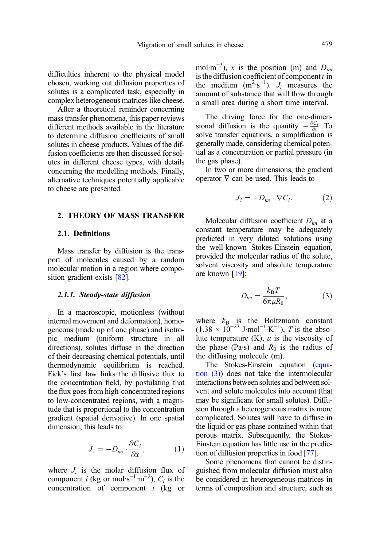<span id="page-2-0"></span>difficulties inherent to the physical model chosen, working out diffusion properties of solutes is a complicated task, especially in complex heterogeneous matrices like cheese.

After a theoretical reminder concerning mass transfer phenomena, this paper reviews different methods available in the literature to determine diffusion coefficients of small solutes in cheese products. Values of the diffusion coefficients are then discussed for solutes in different cheese types, with details concerning the modelling methods. Finally, alternative techniques potentially applicable to cheese are presented.

# 2. THEORY OF MASS TRANSFER

# 2.1. Definitions

Mass transfer by diffusion is the transport of molecules caused by a random molecular motion in a region where composition gradient exists [\[82](#page-30-0)].

#### 2.1.1. Steady-state diffusion

In a macroscopic, motionless (without internal movement and deformation), homogeneous (made up of one phase) and isotropic medium (uniform structure in all directions), solutes diffuse in the direction of their decreasing chemical potentials, until thermodynamic equilibrium is reached. Fick's first law links the diffusive flux to the concentration field, by postulating that the flux goes from high-concentrated regions to low-concentrated regions, with a magnitude that is proportional to the concentration gradient (spatial derivative). In one spatial dimension, this leads to

$$
J_i = -D_{im} \cdot \frac{\partial C_i}{\partial x},\tag{1}
$$

where  $J_i$  is the molar diffusion flux of component *i* (kg or mol·s<sup>-1</sup>·m<sup>-2</sup>),  $C_i$  is the concentration of component i (kg or

mol·m<sup>-3</sup>), x is the position (m) and  $D_{im}$ is the diffusion coefficient of component  $i$  in the medium  $(m^2 \cdot s^{-1})$ .  $J_i$  measures the amount of substance that will flow through a small area during a short time interval.

The driving force for the one-dimensional diffusion is the quantity  $-\frac{\partial C_i}{\partial x}$ . To solve transfer equations, a simplification is generally made, considering chemical potential as a concentration or partial pressure (in the gas phase).

In two or more dimensions, the gradient operator  $\nabla$  can be used. This leads to

$$
J_i = -D_{im} \cdot \nabla C_i. \tag{2}
$$

Molecular diffusion coefficient  $D_{im}$  at a constant temperature may be adequately predicted in very diluted solutions using the well-known Stokes-Einstein equation, provided the molecular radius of the solute, solvent viscosity and absolute temperature are known [\[19](#page-28-0)]:

$$
D_{im} = \frac{k_{\rm B}T}{6\pi\mu R_0},\qquad(3)
$$

where  $k_{\rm B}$  is the Boltzmann constant  $(1.38 \times 10^{-23} \text{ J} \cdot \text{mol}^{-1} \cdot \text{K}^{-1})$ , T is the absolute temperature (K),  $\mu$  is the viscosity of the phase (Pa·s) and  $R_0$  is the radius of the diffusing molecule (m).

The Stokes-Einstein equation (equation (3)) does not take the intermolecular interactions between solutes and between solvent and solute molecules into account (that may be significant for small solutes). Diffusion through a heterogeneous matrix is more complicated. Solutes will have to diffuse in the liquid or gas phase contained within that porous matrix. Subsequently, the Stokes-Einstein equation has little use in the prediction of diffusion properties in food [\[77\]](#page-30-0).

Some phenomena that cannot be distinguished from molecular diffusion must also be considered in heterogeneous matrices in terms of composition and structure, such as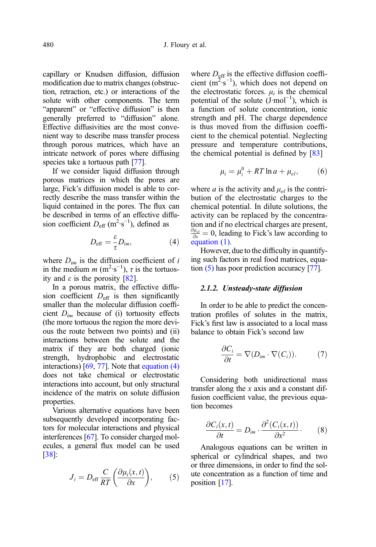<span id="page-3-0"></span>capillary or Knudsen diffusion, diffusion modification due to matrix changes (obstruction, retraction, etc.) or interactions of the solute with other components. The term "apparent" or "effective diffusion" is then generally preferred to "diffusion" alone. Effective diffusivities are the most convenient way to describe mass transfer process through porous matrices, which have an intricate network of pores where diffusing species take a tortuous path [[77](#page-30-0)].

If we consider liquid diffusion through porous matrices in which the pores are large, Fick's diffusion model is able to correctly describe the mass transfer within the liquid contained in the pores. The flux can be described in terms of an effective diffusion coefficient  $D_{\text{eff}}$  (m<sup>2</sup>·s<sup>-1</sup>), defined as

$$
D_{\text{eff}} = \frac{\varepsilon}{\tau} D_{im},\tag{4}
$$

where  $D_{im}$  is the diffusion coefficient of i in the medium  $m$  (m<sup>2</sup>·s<sup>-1</sup>),  $\tau$  is the tortuosity and  $\varepsilon$  is the porosity [\[82](#page-30-0)].

In a porous matrix, the effective diffusion coefficient  $D<sub>eff</sub>$  is then significantly smaller than the molecular diffusion coefficient  $D_{im}$  because of (i) tortuosity effects (the more tortuous the region the more devious the route between two points) and (ii) interactions between the solute and the matrix if they are both charged (ionic strength, hydrophobic and electrostatic interactions) [\[69,](#page-30-0) [77\]](#page-30-0). Note that equation (4) does not take chemical or electrostatic interactions into account, but only structural incidence of the matrix on solute diffusion properties.

Various alternative equations have been subsequently developed incorporating factors for molecular interactions and physical interferences [[67](#page-30-0)]. To consider charged molecules, a general flux model can be used [\[38](#page-29-0)]:

$$
J_i = D_{\text{eff}} \frac{C}{RT} \left( \frac{\partial \mu_i(x, t)}{\partial x} \right), \qquad (5)
$$

where  $D_{\text{eff}}$  is the effective diffusion coefficient  $(m^{2} \cdot s^{-1})$ , which does not depend on the electrostatic forces.  $\mu_i$  is the chemical potential of the solute  $(J \cdot mol^{-1})$ , which is a function of solute concentration, ionic strength and pH. The charge dependence is thus moved from the diffusion coefficient to the chemical potential. Neglecting pressure and temperature contributions, the chemical potential is defined by [[83\]](#page-30-0)

$$
\mu_i = \mu_i^0 + RT \ln a + \mu_{el}, \qquad (6)
$$

where *a* is the activity and  $\mu_{el}$  is the contribution of the electrostatic charges to the chemical potential. In dilute solutions, the activity can be replaced by the concentration and if no electrical charges are present,  $\frac{\partial \mu_{el}}{\partial x} = 0$ , leading to Fick's law according to [equation \(1\)](#page-2-0).

However, due to the difficulty in quantifying such factors in real food matrices, equation (5) has poor prediction accuracy [[77](#page-30-0)].

# 2.1.2. Unsteady-state diffusion

In order to be able to predict the concentration profiles of solutes in the matrix, Fick's first law is associated to a local mass balance to obtain Fick's second law

$$
\frac{\partial C_i}{\partial t} = \nabla (D_{im} \cdot \nabla (C_i)). \tag{7}
$$

Considering both unidirectional mass transfer along the  $x$  axis and a constant diffusion coefficient value, the previous equation becomes

$$
\frac{\partial C_i(x,t)}{\partial t} = D_{im} \cdot \frac{\partial^2 (C_i(x,t))}{\partial x^2}.
$$
 (8)

Analogous equations can be written in spherical or cylindrical shapes, and two or three dimensions, in order to find the solute concentration as a function of time and position [[17](#page-28-0)].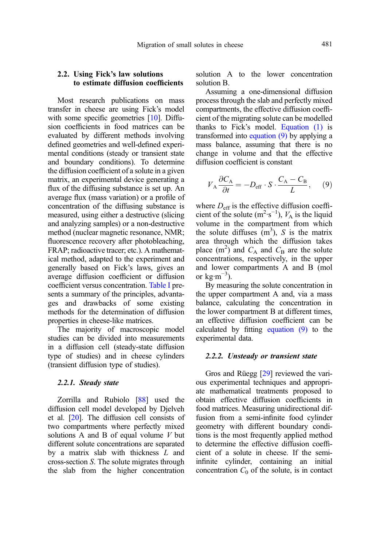# 2.2. Using Fick's law solutions to estimate diffusion coefficients

Most research publications on mass transfer in cheese are using Fick's model with some specific geometries [[10](#page-27-0)]. Diffusion coefficients in food matrices can be evaluated by different methods involving defined geometries and well-defined experimental conditions (steady or transient state and boundary conditions). To determine the diffusion coefficient of a solute in a given matrix, an experimental device generating a flux of the diffusing substance is set up. An average flux (mass variation) or a profile of concentration of the diffusing substance is measured, using either a destructive (slicing and analyzing samples) or a non-destructive method (nuclear magnetic resonance, NMR; fluorescence recovery after photobleaching, FRAP; radioactive tracer; etc.). A mathematical method, adapted to the experiment and generally based on Fick's laws, gives an average diffusion coefficient or diffusion coefficient versus concentration. [Table I](#page-5-0) presents a summary of the principles, advantages and drawbacks of some existing methods for the determination of diffusion properties in cheese-like matrices.

The majority of macroscopic model studies can be divided into measurements in a diffusion cell (steady-state diffusion type of studies) and in cheese cylinders (transient diffusion type of studies).

# 2.2.1. Steady state

Zorrilla and Rubiolo [[88](#page-31-0)] used the diffusion cell model developed by Djelveh et al. [\[20](#page-28-0)]. The diffusion cell consists of two compartments where perfectly mixed solutions A and B of equal volume  $V$  but different solute concentrations are separated by a matrix slab with thickness L and cross-section S. The solute migrates through the slab from the higher concentration solution A to the lower concentration solution B.

Assuming a one-dimensional diffusion process through the slab and perfectly mixed compartments, the effective diffusion coefficient of the migrating solute can be modelled thanks to Fick's model. [Equation \(1\)](#page-2-0) is transformed into equation (9) by applying a mass balance, assuming that there is no change in volume and that the effective diffusion coefficient is constant

$$
V_{A} \frac{\partial C_{A}}{\partial t} = -D_{\text{eff}} \cdot S \cdot \frac{C_{A} - C_{B}}{L}, \quad (9)
$$

where  $D_{\text{eff}}$  is the effective diffusion coefficient of the solute  $(m^2 \cdot s^{-1})$ ,  $V_A$  is the liquid volume in the compartment from which the solute diffuses  $(m^3)$ , S is the matrix area through which the diffusion takes place  $(m^2)$  and  $C_A$  and  $C_B$  are the solute concentrations, respectively, in the upper and lower compartments A and B (mol or  $\text{kg}\cdot\text{m}^{-3}$ ).

By measuring the solute concentration in the upper compartment A and, via a mass balance, calculating the concentration in the lower compartment B at different times, an effective diffusion coefficient can be calculated by fitting equation (9) to the experimental data.

#### 2.2.2. Unsteady or transient state

Gros and Rüegg [[29](#page-28-0)] reviewed the various experimental techniques and appropriate mathematical treatments proposed to obtain effective diffusion coefficients in food matrices. Measuring unidirectional diffusion from a semi-infinite food cylinder geometry with different boundary conditions is the most frequently applied method to determine the effective diffusion coefficient of a solute in cheese. If the semiinfinite cylinder, containing an initial concentration  $C_0$  of the solute, is in contact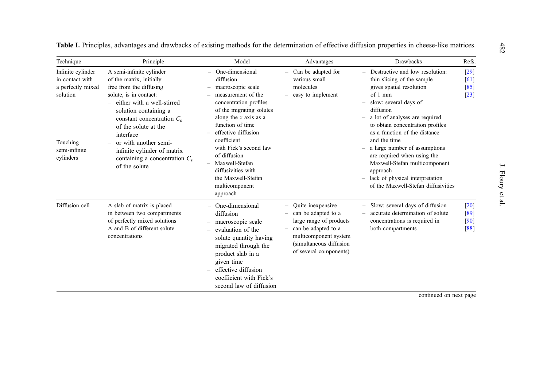| Technique                                                                                                       | Principle                                                                                                                                                                                                                                                                                                                                          | Model                                                                                                                                                                                                                                                                                                                                                    | Advantages                                                                                                                                                               | <b>Drawbacks</b>                                                                                                                                                                                                                                                                                                                                                                                                                                                                                          | Refs.                          |
|-----------------------------------------------------------------------------------------------------------------|----------------------------------------------------------------------------------------------------------------------------------------------------------------------------------------------------------------------------------------------------------------------------------------------------------------------------------------------------|----------------------------------------------------------------------------------------------------------------------------------------------------------------------------------------------------------------------------------------------------------------------------------------------------------------------------------------------------------|--------------------------------------------------------------------------------------------------------------------------------------------------------------------------|-----------------------------------------------------------------------------------------------------------------------------------------------------------------------------------------------------------------------------------------------------------------------------------------------------------------------------------------------------------------------------------------------------------------------------------------------------------------------------------------------------------|--------------------------------|
| Infinite cylinder<br>in contact with<br>a perfectly mixed<br>solution<br>Touching<br>semi-infinite<br>cylinders | A semi-infinite cylinder<br>of the matrix, initially<br>free from the diffusing<br>solute, is in contact:<br>either with a well-stirred<br>solution containing a<br>constant concentration $C_s$<br>of the solute at the<br>interface<br>or with another semi-<br>infinite cylinder of matrix<br>containing a concentration $C_s$<br>of the solute | One-dimensional<br>diffusion<br>macroscopic scale<br>measurement of the<br>concentration profiles<br>of the migrating solutes<br>along the $x$ axis as a<br>function of time<br>effective diffusion<br>coefficient<br>with Fick's second law<br>of diffusion<br>Maxwell-Stefan<br>diffusivities with<br>the Maxwell-Stefan<br>multicomponent<br>approach | Can be adapted for<br>various small<br>molecules<br>easy to implement                                                                                                    | Destructive and low resolution:<br>thin slicing of the sample<br>gives spatial resolution<br>of 1 mm<br>slow: several days of<br>diffusion<br>a lot of analyses are required<br>to obtain concentration profiles<br>as a function of the distance<br>and the time<br>a large number of assumptions<br>$\qquad \qquad -$<br>are required when using the<br>Maxwell-Stefan multicomponent<br>approach<br>lack of physical interpretation<br>$\overline{\phantom{0}}$<br>of the Maxwell-Stefan diffusivities | $[29]$<br>[61]<br>[85]<br>[23] |
| Diffusion cell                                                                                                  | A slab of matrix is placed<br>in between two compartments<br>of perfectly mixed solutions<br>A and B of different solute<br>concentrations                                                                                                                                                                                                         | One-dimensional<br>diffusion<br>macroscopic scale<br>evaluation of the<br>solute quantity having<br>migrated through the<br>product slab in a<br>given time<br>effective diffusion<br>coefficient with Fick's<br>second law of diffusion                                                                                                                 | Quite inexpensive<br>can be adapted to a<br>large range of products<br>can be adapted to a<br>multicomponent system<br>(simultaneous diffusion<br>of several components) | Slow: several days of diffusion<br>$\overline{\phantom{m}}$<br>accurate determination of solute<br>concentrations is required in<br>both compartments                                                                                                                                                                                                                                                                                                                                                     | [20]<br>[89]<br>[90]<br>[88]   |

<span id="page-5-0"></span>Table I. Principles, advantages and drawbacks of existing methods for the determination of effective diffusion properties in cheese-like matrices.

continued on next page

 $482$  J. Floury et al.  ${\cal J}.$  Floury et al.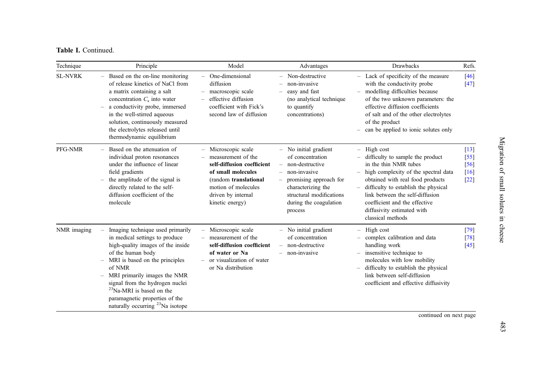#### Table I. Continued.

| Technique      | Principle                                                                                                                                                                                                                                                                                                                                                       | Model                                                                                                                                                                                | Advantages                                                                                                                                                                                    | Drawbacks                                                                                                                                                                                                                                                                                                             |                                      |  |
|----------------|-----------------------------------------------------------------------------------------------------------------------------------------------------------------------------------------------------------------------------------------------------------------------------------------------------------------------------------------------------------------|--------------------------------------------------------------------------------------------------------------------------------------------------------------------------------------|-----------------------------------------------------------------------------------------------------------------------------------------------------------------------------------------------|-----------------------------------------------------------------------------------------------------------------------------------------------------------------------------------------------------------------------------------------------------------------------------------------------------------------------|--------------------------------------|--|
| <b>SL-NVRK</b> | Based on the on-line monitoring<br>of release kinetics of NaCl from<br>a matrix containing a salt<br>concentration $C_s$ into water<br>a conductivity probe, immersed<br>$\overline{\phantom{m}}$<br>in the well-stirred aqueous<br>solution, continuously measured<br>the electrolytes released until<br>thermodynamic equilibrium                             | One-dimensional<br>diffusion<br>macroscopic scale<br>effective diffusion<br>coefficient with Fick's<br>second law of diffusion                                                       | Non-destructive<br>non-invasive<br>easy and fast<br>(no analytical technique<br>to quantify<br>concentrations)                                                                                | - Lack of specificity of the measure<br>with the conductivity probe<br>modelling difficulties because<br>of the two unknown parameters: the<br>effective diffusion coefficients<br>of salt and of the other electrolytes<br>of the product<br>can be applied to ionic solutes only                                    | [46]<br>[47]                         |  |
| PFG-NMR        | Based on the attenuation of<br>individual proton resonances<br>under the influence of linear<br>field gradients<br>the amplitude of the signal is<br>directly related to the self-<br>diffusion coefficient of the<br>molecule                                                                                                                                  | Microscopic scale<br>measurement of the<br>self-diffusion coefficient<br>of small molecules<br>(random translational<br>motion of molecules<br>driven by internal<br>kinetic energy) | - No initial gradient<br>of concentration<br>non-destructive<br>non-invasive<br>promising approach for<br>characterizing the<br>structural modifications<br>during the coagulation<br>process | $-$ High cost<br>difficulty to sample the product<br>in the thin NMR tubes<br>high complexity of the spectral data<br>obtained with real food products<br>difficulty to establish the physical<br>link between the self-diffusion<br>coefficient and the effective<br>diffusivity estimated with<br>classical methods | [13]<br>[55]<br>[56]<br>[16]<br>[22] |  |
| NMR imaging    | Imaging technique used primarily<br>in medical settings to produce<br>high-quality images of the inside<br>of the human body<br>MRI is based on the principles<br>of NMR<br>MRI primarily images the NMR<br>signal from the hydrogen nuclei<br>$^{23}$ Na-MRI is based on the<br>paramagnetic properties of the<br>naturally occurring <sup>23</sup> Na isotope | Microscopic scale<br>measurement of the<br>self-diffusion coefficient<br>of water or Na<br>or visualization of water<br>or Na distribution                                           | - No initial gradient<br>of concentration<br>- non-destructive<br>$-$ non-invasive                                                                                                            | High cost<br>complex calibration and data<br>handling work<br>insensitive technique to<br>molecules with low mobility<br>difficulty to establish the physical<br>link between self-diffusion<br>coefficient and effective diffusivity                                                                                 | [79]<br>[78]<br>$[45]$               |  |

continued on next page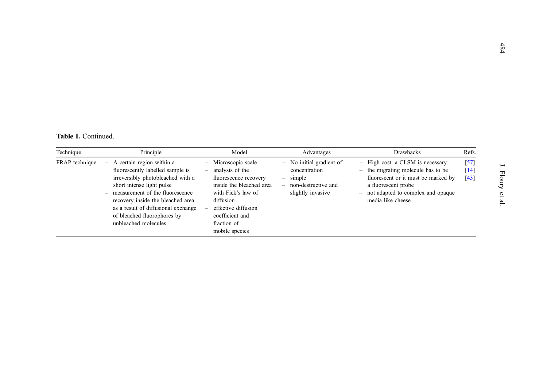#### Table I. Continued.

| Technique      | Principle                                                                                                                                                                                                                                                                                                   | Model                                                                                                                                                                                                                                                                                       | Advantages                                                                                                                                                | <b>Drawbacks</b>                                                                                                                                                                                                             | Refs.                               |
|----------------|-------------------------------------------------------------------------------------------------------------------------------------------------------------------------------------------------------------------------------------------------------------------------------------------------------------|---------------------------------------------------------------------------------------------------------------------------------------------------------------------------------------------------------------------------------------------------------------------------------------------|-----------------------------------------------------------------------------------------------------------------------------------------------------------|------------------------------------------------------------------------------------------------------------------------------------------------------------------------------------------------------------------------------|-------------------------------------|
| FRAP technique | $-$ A certain region within a<br>fluorescently labelled sample is<br>irreversibly photobleached with a<br>short intense light pulse<br>- measurement of the fluorescence<br>recovery inside the bleached area<br>as a result of diffusional exchange<br>of bleached fluorophores by<br>unbleached molecules | Microscopic scale<br>$\overline{\phantom{0}}$<br>analysis of the<br>$\overline{\phantom{0}}$<br>fluorescence recovery<br>inside the bleached area<br>with Fick's law of<br>diffusion<br>effective diffusion<br>$\overline{\phantom{0}}$<br>coefficient and<br>fraction of<br>mobile species | $-$ No initial gradient of<br>concentration<br>simple<br>$\overline{\phantom{0}}$<br>non-destructive and<br>$\overline{\phantom{0}}$<br>slightly invasive | - High cost: a CLSM is necessary<br>$-$ the migrating molecule has to be<br>fluorescent or it must be marked by<br>a fluorescent probe<br>not adapted to complex and opaque<br>$\overline{\phantom{0}}$<br>media like cheese | $\left[57\right]$<br>[14]<br>$[43]$ |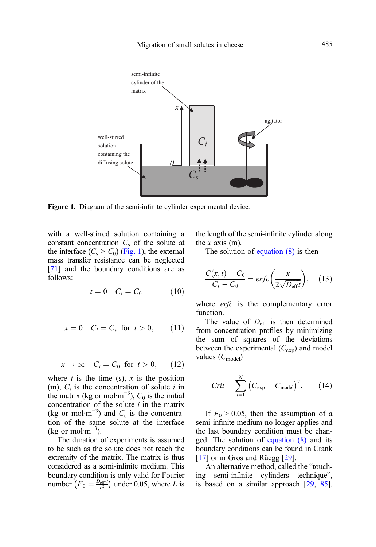

Figure 1. Diagram of the semi-infinite cylinder experimental device.

with a well-stirred solution containing a constant concentration  $C_s$  of the solute at the interface  $(C_s > C_0)$  (Fig. 1), the external mass transfer resistance can be neglected [[71](#page-30-0)] and the boundary conditions are as follows:

$$
t = 0 \quad C_i = C_0 \tag{10}
$$

$$
x = 0 \quad C_i = C_s \text{ for } t > 0, \qquad (11)
$$

$$
x \to \infty \quad C_i = C_0 \text{ for } t > 0, \qquad (12)
$$

where  $t$  is the time (s),  $x$  is the position (m),  $C_i$  is the concentration of solute i in the matrix (kg or mol·m<sup>-3</sup>),  $C_0$  is the initial concentration of the solute  $i$  in the matrix (kg or mol·m<sup>-3</sup>) and  $C_s$  is the concentration of the same solute at the interface (kg or mol·m<sup>-3</sup>).

The duration of experiments is assumed to be such as the solute does not reach the extremity of the matrix. The matrix is thus considered as a semi-infinite medium. This boundary condition is only valid for Fourier number  $(F_0 = \frac{D_{\text{eff}} t}{L^2})$  under 0.05, where L is

the length of the semi-infinite cylinder along the  $x$  axis (m).

The solution of [equation \(8\)](#page-3-0) is then

$$
\frac{C(x,t) - C_0}{C_s - C_0} = \text{erfc}\left(\frac{x}{2\sqrt{D_{\text{eff}}t}}\right), \quad (13)
$$

where *erfc* is the complementary error function.

The value of  $D_{\text{eff}}$  is then determined from concentration profiles by minimizing the sum of squares of the deviations between the experimental  $(C_{\text{exp}})$  and model values  $(C_{model})$ 

$$
Crit = \sum_{i=1}^{N} (C_{\exp} - C_{\text{model}})^2.
$$
 (14)

If  $F_0 > 0.05$ , then the assumption of a semi-infinite medium no longer applies and the last boundary condition must be changed. The solution of [equation \(8\)](#page-3-0) and its boundary conditions can be found in Crank [[17\]](#page-28-0) or in Gros and Rüegg [\[29\]](#page-28-0).

An alternative method, called the "touching semi-infinite cylinders technique", is based on a similar approach [\[29](#page-28-0), [85](#page-30-0)].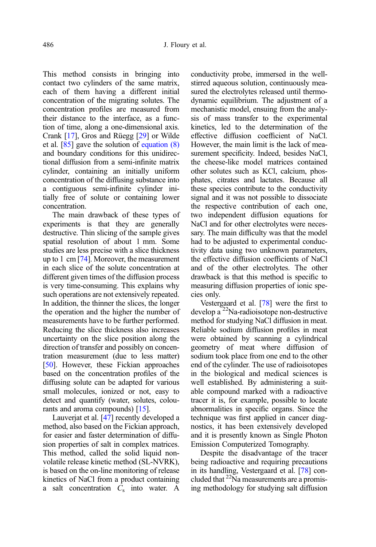This method consists in bringing into contact two cylinders of the same matrix, each of them having a different initial concentration of the migrating solutes. The concentration profiles are measured from their distance to the interface, as a function of time, along a one-dimensional axis. Crank [\[17\]](#page-28-0), Gros and Rüegg [[29](#page-28-0)] or Wilde et al. [[85](#page-30-0)] gave the solution of [equation \(8\)](#page-3-0) and boundary conditions for this unidirectional diffusion from a semi-infinite matrix cylinder, containing an initially uniform concentration of the diffusing substance into a contiguous semi-infinite cylinder initially free of solute or containing lower concentration.

The main drawback of these types of experiments is that they are generally destructive. Thin slicing of the sample gives spatial resolution of about 1 mm. Some studies are less precise with a slice thickness up to 1 cm  $[74]$  $[74]$ . Moreover, the measurement in each slice of the solute concentration at different given times of the diffusion process is very time-consuming. This explains why such operations are not extensively repeated. In addition, the thinner the slices, the longer the operation and the higher the number of measurements have to be further performed. Reducing the slice thickness also increases uncertainty on the slice position along the direction of transfer and possibly on concentration measurement (due to less matter) [\[50](#page-29-0)]. However, these Fickian approaches based on the concentration profiles of the diffusing solute can be adapted for various small molecules, ionized or not, easy to detect and quantify (water, solutes, colourants and aroma compounds) [\[15\]](#page-28-0).

Lauverjat et al. [\[47](#page-29-0)] recently developed a method, also based on the Fickian approach, for easier and faster determination of diffusion properties of salt in complex matrices. This method, called the solid liquid nonvolatile release kinetic method (SL-NVRK), is based on the on-line monitoring of release kinetics of NaCl from a product containing a salt concentration  $C_s$  into water. A

conductivity probe, immersed in the wellstirred aqueous solution, continuously measured the electrolytes released until thermodynamic equilibrium. The adjustment of a mechanistic model, ensuing from the analysis of mass transfer to the experimental kinetics, led to the determination of the effective diffusion coefficient of NaCl. However, the main limit is the lack of measurement specificity. Indeed, besides NaCl, the cheese-like model matrices contained other solutes such as KCl, calcium, phosphates, citrates and lactates. Because all these species contribute to the conductivity signal and it was not possible to dissociate the respective contribution of each one, two independent diffusion equations for NaCl and for other electrolytes were necessary. The main difficulty was that the model had to be adjusted to experimental conductivity data using two unknown parameters, the effective diffusion coefficients of NaCl and of the other electrolytes. The other drawback is that this method is specific to measuring diffusion properties of ionic species only.

Vestergaard et al. [[78\]](#page-30-0) were the first to develop  $a^{-22}$ Na-radioisotope non-destructive method for studying NaCl diffusion in meat. Reliable sodium diffusion profiles in meat were obtained by scanning a cylindrical geometry of meat where diffusion of sodium took place from one end to the other end of the cylinder. The use of radioisotopes in the biological and medical sciences is well established. By administering a suitable compound marked with a radioactive tracer it is, for example, possible to locate abnormalities in specific organs. Since the technique was first applied in cancer diagnostics, it has been extensively developed and it is presently known as Single Photon Emission Computerized Tomography.

Despite the disadvantage of the tracer being radioactive and requiring precautions in its handling, Vestergaard et al. [\[78\]](#page-30-0) concluded that  ${}^{22}$ Na measurements are a promising methodology for studying salt diffusion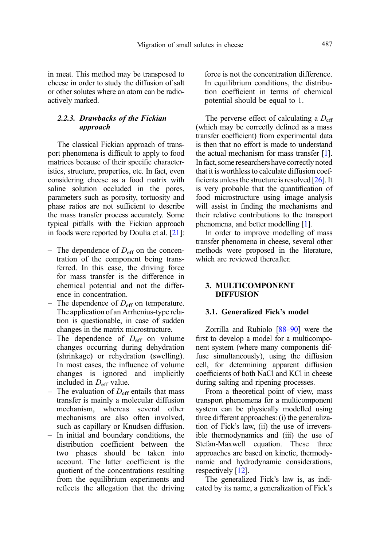in meat. This method may be transposed to cheese in order to study the diffusion of salt or other solutes where an atom can be radio-

# 2.2.3. Drawbacks of the Fickian approach

actively marked.

The classical Fickian approach of transport phenomena is difficult to apply to food matrices because of their specific characteristics, structure, properties, etc. In fact, even considering cheese as a food matrix with saline solution occluded in the pores, parameters such as porosity, tortuosity and phase ratios are not sufficient to describe the mass transfer process accurately. Some typical pitfalls with the Fickian approach in foods were reported by Doulia et al. [\[21\]](#page-28-0):

- The dependence of  $D_{\text{eff}}$  on the concentration of the component being transferred. In this case, the driving force for mass transfer is the difference in chemical potential and not the difference in concentration.
- The dependence of  $D_{\text{eff}}$  on temperature. The application of an Arrhenius-type relation is questionable, in case of sudden changes in the matrix microstructure.
- The dependence of  $D_{\text{eff}}$  on volume changes occurring during dehydration (shrinkage) or rehydration (swelling). In most cases, the influence of volume changes is ignored and implicitly included in  $D_{\text{eff}}$  value.
- The evaluation of  $D_{\text{eff}}$  entails that mass transfer is mainly a molecular diffusion mechanism, whereas several other mechanisms are also often involved, such as capillary or Knudsen diffusion.
- In initial and boundary conditions, the distribution coefficient between the two phases should be taken into account. The latter coefficient is the quotient of the concentrations resulting from the equilibrium experiments and reflects the allegation that the driving

force is not the concentration difference. In equilibrium conditions, the distribution coefficient in terms of chemical potential should be equal to 1.

The perverse effect of calculating a  $D_{\text{eff}}$ (which may be correctly defined as a mass transfer coefficient) from experimental data is then that no effort is made to understand the actual mechanism for mass transfer [\[1](#page-27-0)]. In fact, some researchers have correctly noted that it is worthless to calculate diffusion coefficients unless the structure is resolved  $[26]$  $[26]$ . It is very probable that the quantification of food microstructure using image analysis will assist in finding the mechanisms and their relative contributions to the transport phenomena, and better modelling [\[1](#page-27-0)].

In order to improve modelling of mass transfer phenomena in cheese, several other methods were proposed in the literature, which are reviewed thereafter.

# 3. MULTICOMPONENT DIFFUSION

# 3.1. Generalized Fick's model

Zorrilla and Rubiolo [[88](#page-31-0)–[90\]](#page-31-0) were the first to develop a model for a multicomponent system (where many components diffuse simultaneously), using the diffusion cell, for determining apparent diffusion coefficients of both NaCl and KCl in cheese during salting and ripening processes.

From a theoretical point of view, mass transport phenomena for a multicomponent system can be physically modelled using three different approaches: (i) the generalization of Fick's law, (ii) the use of irreversible thermodynamics and (iii) the use of Stefan-Maxwell equation. These three approaches are based on kinetic, thermodynamic and hydrodynamic considerations, respectively [\[12](#page-27-0)].

The generalized Fick's law is, as indicated by its name, a generalization of Fick's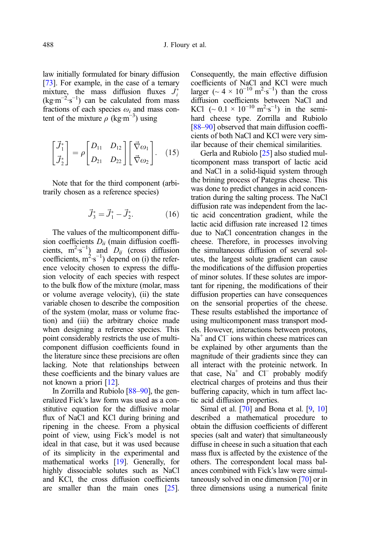law initially formulated for binary diffusion [\[73](#page-30-0)]. For example, in the case of a ternary mixture, the mass diffusion fluxes  $J_i^*$  $(\text{kg} \cdot \text{m}^{-2} \cdot \text{s}^{-1})$  can be calculated from mass fractions of each species  $\omega_i$  and mass content of the mixture  $\rho$  (kg·m<sup>-3</sup>) using

$$
\begin{bmatrix} \vec{J}_1^* \\ \vec{J}_2^* \end{bmatrix} = \rho \begin{bmatrix} D_{11} & D_{12} \\ D_{21} & D_{22} \end{bmatrix} \begin{bmatrix} \vec{\nabla}\omega_1 \\ \vec{\nabla}\omega_2 \end{bmatrix} . \quad (15)
$$

Note that for the third component (arbitrarily chosen as a reference species)

$$
\vec{J}_3^* = \vec{J}_1^* - \vec{J}_2^*.
$$
 (16)

The values of the multicomponent diffusion coefficients  $D_{ii}$  (main diffusion coefficients,  $m^2 \cdot s^{-1}$ ) and  $D_{ij}$  (cross diffusion coefficients,  $m^2 s^{-1}$ ) depend on (i) the reference velocity chosen to express the diffusion velocity of each species with respect to the bulk flow of the mixture (molar, mass or volume average velocity), (ii) the state variable chosen to describe the composition of the system (molar, mass or volume fraction) and (iii) the arbitrary choice made when designing a reference species. This point considerably restricts the use of multicomponent diffusion coefficients found in the literature since these precisions are often lacking. Note that relationships between these coefficients and the binary values are not known a priori [[12](#page-27-0)].

In Zorrilla and Rubiolo [\[88](#page-31-0)–[90](#page-31-0)], the generalized Fick's law form was used as a constitutive equation for the diffusive molar flux of NaCl and KCl during brining and ripening in the cheese. From a physical point of view, using Fick's model is not ideal in that case, but it was used because of its simplicity in the experimental and mathematical works [\[19](#page-28-0)]. Generally, for highly dissociable solutes such as NaCl and KCl, the cross diffusion coefficients are smaller than the main ones [\[25\]](#page-28-0).

Consequently, the main effective diffusion coefficients of NaCl and KCl were much larger ( $\sim 4 \times 10^{-10} \text{ m}^2 \cdot \text{s}^{-1}$ ) than the cross diffusion coefficients between NaCl and KCl (~  $0.1 \times 10^{-10}$  m<sup>2</sup>·s<sup>-1</sup>) in the semihard cheese type. Zorrilla and Rubiolo [[88](#page-31-0)–[90\]](#page-31-0) observed that main diffusion coefficients of both NaCl and KCl were very similar because of their chemical similarities.

Gerla and Rubiolo [\[25\]](#page-28-0) also studied multicomponent mass transport of lactic acid and NaCl in a solid-liquid system through the brining process of Pategras cheese. This was done to predict changes in acid concentration during the salting process. The NaCl diffusion rate was independent from the lactic acid concentration gradient, while the lactic acid diffusion rate increased 12 times due to NaCl concentration changes in the cheese. Therefore, in processes involving the simultaneous diffusion of several solutes, the largest solute gradient can cause the modifications of the diffusion properties of minor solutes. If these solutes are important for ripening, the modifications of their diffusion properties can have consequences on the sensorial properties of the cheese. These results established the importance of using multicomponent mass transport models. However, interactions between protons, Na<sup>+</sup> and Cl<sup>−</sup> ions within cheese matrices can be explained by other arguments than the magnitude of their gradients since they can all interact with the proteinic network. In that case,  $Na<sup>+</sup>$  and  $Cl<sup>-</sup>$  probably modify electrical charges of proteins and thus their buffering capacity, which in turn affect lactic acid diffusion properties.

Simal et al. [\[70\]](#page-30-0) and Bona et al. [\[9,](#page-27-0) [10](#page-27-0)] described a mathematical procedure to obtain the diffusion coefficients of different species (salt and water) that simultaneously diffuse in cheese in such a situation that each mass flux is affected by the existence of the others. The correspondent local mass balances combined with Fick's law were simultaneously solved in one dimension [\[70\]](#page-30-0) or in three dimensions using a numerical finite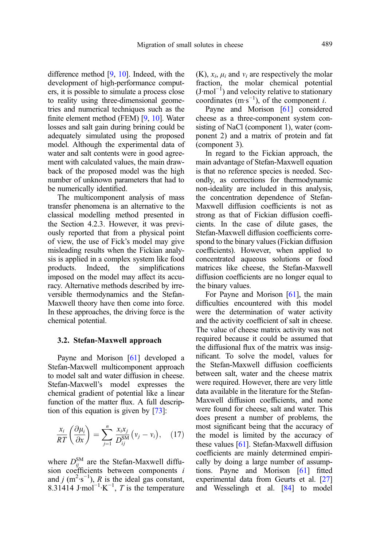difference method [[9](#page-27-0), [10\]](#page-27-0). Indeed, with the development of high-performance computers, it is possible to simulate a process close to reality using three-dimensional geometries and numerical techniques such as the finite element method (FEM) [[9,](#page-27-0) [10\]](#page-27-0). Water losses and salt gain during brining could be adequately simulated using the proposed model. Although the experimental data of water and salt contents were in good agreement with calculated values, the main drawback of the proposed model was the high number of unknown parameters that had to be numerically identified.

The multicomponent analysis of mass transfer phenomena is an alternative to the classical modelling method presented in the Section 4.2.3. However, it was previously reported that from a physical point of view, the use of Fick's model may give misleading results when the Fickian analysis is applied in a complex system like food products. Indeed, the simplifications imposed on the model may affect its accuracy. Alternative methods described by irreversible thermodynamics and the Stefan-Maxwell theory have then come into force. In these approaches, the driving force is the chemical potential.

#### 3.2. Stefan-Maxwell approach

Payne and Morison [[61](#page-30-0)] developed a Stefan-Maxwell multicomponent approach to model salt and water diffusion in cheese. Stefan-Maxwell's model expresses the chemical gradient of potential like a linear function of the matter flux. A full description of this equation is given by [[73](#page-30-0)]:

$$
\frac{x_i}{RT}\left(\frac{\partial \mu_i}{\partial x}\right) = \sum_{j=1}^n \frac{x_i x_j}{D_{ij}^{SM}}(v_j - v_i), \quad (17)
$$

where  $D_{ij}^{SM}$  are the Stefan-Maxwell diffusion coefficients between components  $i$ and  $j$  (m<sup>2</sup>·s<sup>-1</sup>), R is the ideal gas constant, 8.31414 J·mol<sup>-1</sup>·K<sup>-1</sup>, T is the temperature

(K),  $x_i$ ,  $\mu_i$  and  $\nu_i$  are respectively the molar fraction, the molar chemical potential  $(J \cdot mol^{-1})$  and velocity relative to stationary coordinates  $(m·s^{-1})$ , of the component *i*.

Payne and Morison [[61\]](#page-30-0) considered cheese as a three-component system consisting of NaCl (component 1), water (component 2) and a matrix of protein and fat (component 3).

In regard to the Fickian approach, the main advantage of Stefan-Maxwell equation is that no reference species is needed. Secondly, as corrections for thermodynamic non-ideality are included in this analysis, the concentration dependence of Stefan-Maxwell diffusion coefficients is not as strong as that of Fickian diffusion coefficients. In the case of dilute gases, the Stefan-Maxwell diffusion coefficients correspond to the binary values (Fickian diffusion coefficients). However, when applied to concentrated aqueous solutions or food matrices like cheese, the Stefan-Maxwell diffusion coefficients are no longer equal to the binary values.

For Payne and Morison [\[61\]](#page-30-0), the main difficulties encountered with this model were the determination of water activity and the activity coefficient of salt in cheese. The value of cheese matrix activity was not required because it could be assumed that the diffusional flux of the matrix was insignificant. To solve the model, values for the Stefan-Maxwell diffusion coefficients between salt, water and the cheese matrix were required. However, there are very little data available in the literature for the Stefan-Maxwell diffusion coefficients, and none were found for cheese, salt and water. This does present a number of problems, the most significant being that the accuracy of the model is limited by the accuracy of these values [[61](#page-30-0)]. Stefan-Maxwell diffusion coefficients are mainly determined empirically by doing a large number of assumptions. Payne and Morison [[61](#page-30-0)] fitted experimental data from Geurts et al. [\[27\]](#page-28-0) and Wesselingh et al. [\[84\]](#page-30-0) to model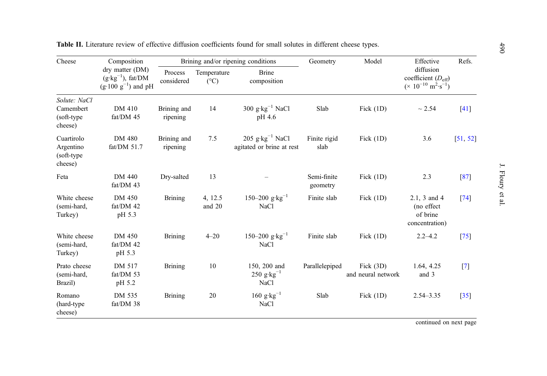| Cheese                                              | Composition                                                                              | Brining and/or ripening conditions |                              |                                                                     | Geometry                | Model                             | Effective                                                                                          | Refs.    |
|-----------------------------------------------------|------------------------------------------------------------------------------------------|------------------------------------|------------------------------|---------------------------------------------------------------------|-------------------------|-----------------------------------|----------------------------------------------------------------------------------------------------|----------|
|                                                     | dry matter (DM)<br>$(g \cdot kg^{-1})$ , fat/DM<br>$(g \cdot 100 \text{ g}^{-1})$ and pH | Process<br>considered              | Temperature<br>$(^{\circ}C)$ | <b>Brine</b><br>composition                                         |                         |                                   | diffusion<br>coefficient $(D_{\text{eff}})$<br>$(\times 10^{-10} \text{ m}^2 \cdot \text{s}^{-1})$ |          |
| Solute: NaCl<br>Camembert<br>(soft-type)<br>cheese) | DM 410<br>fat/DM 45                                                                      | Brining and<br>ripening            | 14                           | $300 \text{ g} \cdot \text{kg}^{-1} \text{ NaCl}$<br>pH 4.6         | Slab                    | Fick $(1D)$                       | $\sim 2.54$                                                                                        | $[41]$   |
| Cuartirolo<br>Argentino<br>(soft-type)<br>cheese)   | DM 480<br>fat/DM 51.7                                                                    | Brining and<br>ripening            | 7.5                          | $205$ g·kg <sup>-1</sup> NaCl<br>agitated or brine at rest          | Finite rigid<br>slab    | Fick $(1D)$                       | 3.6                                                                                                | [51, 52] |
| Feta                                                | DM 440<br>fat/DM 43                                                                      | Dry-salted                         | 13                           |                                                                     | Semi-finite<br>geometry | Fick $(1D)$                       | 2.3                                                                                                | $[87]$   |
| White cheese<br>(semi-hard,<br>Turkey)              | DM 450<br>fat/DM 42<br>pH 5.3                                                            | <b>Brining</b>                     | 4, 12.5<br>and 20            | 150-200 $g$ ·kg <sup>-1</sup><br>NaCl                               | Finite slab             | Fick $(1D)$                       | $2.1, 3$ and 4<br>(no effect<br>of brine<br>concentration)                                         | $[74]$   |
| White cheese<br>(semi-hard,<br>Turkey)              | DM 450<br>fat/DM 42<br>pH 5.3                                                            | <b>Brining</b>                     | $4 - 20$                     | 150-200 $g \cdot kg^{-1}$<br>NaCl                                   | Finite slab             | Fick $(1D)$                       | $2.2 - 4.2$                                                                                        | $[75]$   |
| Prato cheese<br>(semi-hard,<br>Brazil)              | DM 517<br>fat/DM 53<br>pH 5.2                                                            | <b>Brining</b>                     | 10                           | 150, 200 and<br>$250 \text{ g} \cdot \text{kg}^{-1}$<br><b>NaCl</b> | Parallelepiped          | Fick $(3D)$<br>and neural network | 1.64, 4.25<br>and 3                                                                                | $[7]$    |
| Romano<br>(hard-type)<br>cheese)                    | DM 535<br>fat/DM 38                                                                      | <b>Brining</b>                     | 20                           | $160 \text{ g} \cdot \text{kg}^{-1}$<br><b>NaCl</b>                 | Slab                    | Fick $(1D)$                       | $2.54 - 3.35$                                                                                      | $[35]$   |

<span id="page-13-0"></span>Table II. Literature review of effective diffusion coefficients found for small solutes in different cheese types.

continued on next page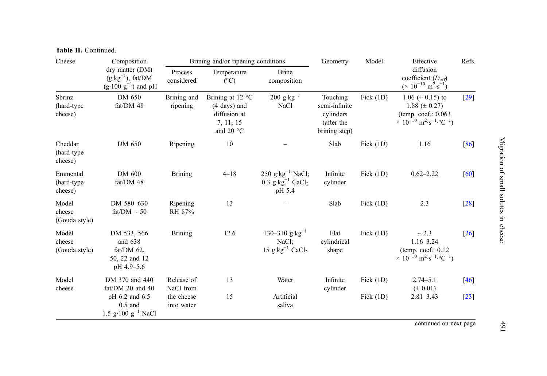| Cheese                             | Composition                                                                                              | Brining and/or ripening conditions    |                                                                                               |                                                                                                         | Geometry                                                              | Model       | Effective                                                                                                                                             | Refs.              |
|------------------------------------|----------------------------------------------------------------------------------------------------------|---------------------------------------|-----------------------------------------------------------------------------------------------|---------------------------------------------------------------------------------------------------------|-----------------------------------------------------------------------|-------------|-------------------------------------------------------------------------------------------------------------------------------------------------------|--------------------|
|                                    | dry matter (DM)<br>$(g \cdot kg^{-1})$ , fat/DM<br>$(g \cdot 100 \text{ g}^{-1})$ and pH                 | Process<br>considered                 | Temperature<br>$(^{\circ}C)$                                                                  | <b>Brine</b><br>composition                                                                             |                                                                       |             | diffusion<br>coefficient $(D_{\text{eff}})$<br>$(\times 10^{-10} \text{ m}^2 \text{·s}^{-1})$                                                         |                    |
| Sbrinz<br>(hard-type)<br>cheese)   | DM 650<br>fat/DM 48                                                                                      | Brining and<br>ripening               | Brining at 12 °C<br>$(4 \text{ days})$ and<br>diffusion at<br>7, 11, 15<br>and 20 $\degree$ C | $200 \text{ g} \cdot \text{kg}^{-1}$<br>NaCl                                                            | Touching<br>semi-infinite<br>cylinders<br>(after the<br>brining step) | Fick $(1D)$ | 1.06 ( $\pm$ 0.15) to<br>1.88 $(\pm 0.27)$<br>(temp. coef.: $0.063$<br>$\times$ 10 <sup>-10</sup> m <sup>2</sup> ·s <sup>-1</sup> ·°C <sup>-1</sup> ) | [29]               |
| Cheddar<br>(hard-type)<br>cheese)  | DM 650                                                                                                   | Ripening                              | 10                                                                                            |                                                                                                         | Slab                                                                  | Fick $(1D)$ | 1.16                                                                                                                                                  | [86]               |
| Emmental<br>(hard-type)<br>cheese) | DM 600<br>fat/DM 48                                                                                      | <b>Brining</b>                        | $4 - 18$                                                                                      | $250 \text{ g} \cdot \text{kg}^{-1} \text{ NaCl};$<br>0.3 $g \cdot kg^{-1}$ CaCl <sub>2</sub><br>pH 5.4 | Infinite<br>cylinder                                                  | Fick $(1D)$ | $0.62 - 2.22$                                                                                                                                         | [60]               |
| Model<br>cheese<br>(Gouda style)   | DM 580-630<br>fat/DM $\sim$ 50                                                                           | Ripening<br>RH 87%                    | 13                                                                                            |                                                                                                         | Slab                                                                  | Fick $(1D)$ | 2.3                                                                                                                                                   | $[28]$             |
| Model<br>cheese<br>(Gouda style)   | DM 533, 566<br>and 638<br>fat/DM $62$ ,<br>50, 22 and 12<br>pH 4.9-5.6                                   | <b>Brining</b>                        | 12.6                                                                                          | 130-310 $g$ ·kg <sup>-1</sup><br>NaCl:<br>15 $g \cdot kg^{-1}$ CaCl <sub>2</sub>                        | Flat<br>cylindrical<br>shape                                          | Fick $(1D)$ | $~\sim 2.3$<br>$1.16 - 3.24$<br>(temp. coef.: $0.12$<br>$\times$ 10 <sup>-10</sup> m <sup>2</sup> ·s <sup>-1</sup> ·°C <sup>-1</sup> )                | $[26]$             |
| Model                              | DM 370 and 440                                                                                           | Release of                            | 13                                                                                            | Water                                                                                                   | Infinite                                                              | Fick $(1D)$ | $2.74 - 5.1$                                                                                                                                          | $[46]$             |
| cheese                             | fat/DM 20 and 40<br>pH 6.2 and 6.5<br>$0.5$ and<br>$1.5 \text{ g} \cdot 100 \text{ g}^{-1} \text{ NaCl}$ | NaCl from<br>the cheese<br>into water | 15                                                                                            | Artificial<br>saliva                                                                                    | cylinder                                                              | Fick $(1D)$ | $(\pm 0.01)$<br>$2.81 - 3.43$                                                                                                                         | $\lceil 23 \rceil$ |

#### Table II. Continued.

Migration of small solutes in cheese Migration of small solutes in cheese

continued on next page

491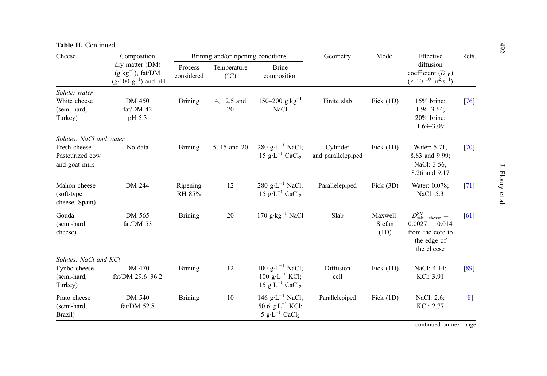| Cheese                                                                      | Composition                                                                              |                       | Brining and/or ripening conditions |                                                                                                   | Geometry                       | Model                      | Effective                                                                                                  | Refs. |
|-----------------------------------------------------------------------------|------------------------------------------------------------------------------------------|-----------------------|------------------------------------|---------------------------------------------------------------------------------------------------|--------------------------------|----------------------------|------------------------------------------------------------------------------------------------------------|-------|
|                                                                             | dry matter (DM)<br>$(g \cdot kg^{-1})$ , fat/DM<br>$(g \cdot 100 \text{ g}^{-1})$ and pH | Process<br>considered | Temperature<br>$(^{\circ}C)$       | <b>Brine</b><br>composition                                                                       |                                |                            | diffusion<br>coefficient $(D_{\text{eff}})$<br>$(\times 10^{-10} \text{ m}^2 \text{·s}^{-1})$              |       |
| Solute: water<br>White cheese<br>(semi-hard,<br>Turkey)                     | DM 450<br>fat/DM 42<br>pH 5.3                                                            | <b>Brining</b>        | 4, 12.5 and<br>20                  | 150-200 $g$ ·kg <sup>-1</sup><br>NaCl                                                             | Finite slab                    | Fick $(1D)$                | 15% brine:<br>$1.96 - 3.64$ ;<br>20% brine:<br>$1.69 - 3.09$                                               | [76]  |
| Solutes: NaCl and water<br>Fresh cheese<br>Pasteurized cow<br>and goat milk | No data                                                                                  | <b>Brining</b>        | 5, 15 and 20                       | 280 $g \cdot L^{-1}$ NaCl;<br>15 $g \cdot L^{-1}$ CaCl <sub>2</sub>                               | Cylinder<br>and parallelepiped | Fick $(1D)$                | Water: 5.71,<br>8.83 and 9.99;<br>NaCl: 3.56,<br>8.26 and 9.17                                             | [70]  |
| Mahon cheese<br>(soft-type)<br>cheese, Spain)                               | DM 244                                                                                   | Ripening<br>RH 85%    | 12                                 | 280 g·L <sup>-1</sup> NaCl;<br>15 $g \cdot L^{-1}$ CaCl <sub>2</sub>                              | Parallelepiped                 | Fick $(3D)$                | Water: 0.078;<br>NaCl: 5.3                                                                                 | [71]  |
| Gouda<br>(semi-hard<br>cheese)                                              | DM 565<br>fat/DM 53                                                                      | <b>Brining</b>        | 20                                 | $170 \text{ g} \cdot \text{kg}^{-1} \text{ NaCl}$                                                 | Slab                           | Maxwell-<br>Stefan<br>(1D) | $D^{\rm SM}_{\rm salt-{\rm cheese}}=$<br>$0.0027 - 0.014$<br>from the core to<br>the edge of<br>the cheese | [61]  |
| Solutes: NaCl and KCl<br>Fynbo cheese<br>(semi-hard,<br>Turkey)             | DM 470<br>fat/DM 29.6-36.2                                                               | <b>Brining</b>        | 12                                 | 100 $g \cdot L^{-1}$ NaCl;<br>100 g·L <sup>-1</sup> KCl;<br>15 $g \cdot L^{-1}$ CaCl <sub>2</sub> | Diffusion<br>cell              | Fick $(1D)$                | NaCl: 4.14;<br>KCl: 3.91                                                                                   | [89]  |
| Prato cheese<br>(semi-hard,<br>Brazil)                                      | DM 540<br>fat/DM $52.8$                                                                  | <b>Brining</b>        | 10                                 | 146 $g \cdot L^{-1}$ NaCl;<br>50.6 $g \cdot L^{-1}$ KCl;<br>5 $g \cdot L^{-1}$ CaCl <sub>2</sub>  | Parallelepiped                 | Fick $(1D)$                | NaCl: 2.6;<br>KCl: 2.77                                                                                    | [8]   |

continued on next page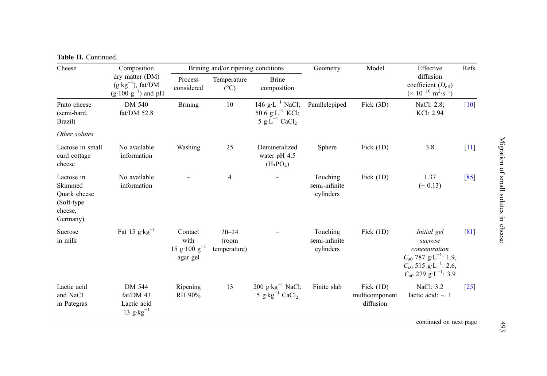| Cheese                                                                            | Composition                                                                              |                                                                        | Brining and/or ripening conditions |                                                                                                   | Geometry                               | Model                                      | Effective                                                                                                                                                         | Refs.              |
|-----------------------------------------------------------------------------------|------------------------------------------------------------------------------------------|------------------------------------------------------------------------|------------------------------------|---------------------------------------------------------------------------------------------------|----------------------------------------|--------------------------------------------|-------------------------------------------------------------------------------------------------------------------------------------------------------------------|--------------------|
|                                                                                   | dry matter (DM)<br>$(g \cdot kg^{-1})$ , fat/DM<br>$(g \cdot 100 \text{ g}^{-1})$ and pH | Process<br>considered                                                  | Temperature<br>$(^{\circ}C)$       | <b>Brine</b><br>composition                                                                       |                                        |                                            | diffusion<br>coefficient $(D_{\text{eff}})$<br>$(\times 10^{-10} \text{ m}^2 \cdot \text{s}^{-1})$                                                                |                    |
| Prato cheese<br>(semi-hard,<br>Brazil)                                            | DM 540<br>fat/DM 52.8                                                                    | <b>Brining</b>                                                         | 10                                 | 146 $g \cdot L^{-1}$ NaCl;<br>50.6 $g \cdot L^{-1}$ KCl;<br>5 g·L <sup>-1</sup> CaCl <sub>2</sub> | Parallelepiped                         | Fick (3D)                                  | NaCl: 2.8;<br>KCl: 2.94                                                                                                                                           | $[10]$             |
| Other solutes                                                                     |                                                                                          |                                                                        |                                    |                                                                                                   |                                        |                                            |                                                                                                                                                                   |                    |
| Lactose in small<br>curd cottage<br>cheese                                        | No available<br>information                                                              | Washing                                                                | 25                                 | Demineralized<br>water pH 4.5<br>$(H_3PO_4)$                                                      | Sphere                                 | Fick $(1D)$                                | 3.8                                                                                                                                                               | [11]               |
| Lactose in<br>Skimmed<br><b>Ouark</b> cheese<br>(Soft-type<br>cheese,<br>Germany) | No available<br>information                                                              |                                                                        | 4                                  |                                                                                                   | Touching<br>semi-infinite<br>cylinders | Fick $(1D)$                                | 1.37<br>$(\pm 0.13)$                                                                                                                                              | [85]               |
| Sucrose<br>in milk                                                                | Fat 15 $g \cdot kg^{-1}$                                                                 | Contact<br>with<br>$15 \text{ g} \cdot 100 \text{ g}^{-1}$<br>agar gel | $20 - 24$<br>(room<br>temperature) |                                                                                                   | Touching<br>semi-infinite<br>cylinders | Fick $(1D)$                                | Initial gel<br>sucrose<br>concentration<br>$C_{s0}$ 787 g·L <sup>-1</sup> : 1.9,<br>$C_{s0}$ 515 g·L <sup>-1</sup> : 2.6,<br>$C_{s0}$ 279 g·L <sup>-1</sup> : 3.9 | [81]               |
| Lactic acid<br>and NaCl<br>in Pategras                                            | DM 544<br>fat/DM 43<br>Lactic acid<br>13 $g \cdot kg^{-1}$                               | Ripening<br>RH 90%                                                     | 13                                 | 200 $g \cdot kg^{-1}$ NaCl;<br>5 $g \cdot kg^{-1}$ CaCl <sub>2</sub>                              | Finite slab                            | Fick $(1D)$<br>multicomponent<br>diffusion | NaCl: 3.2<br>lactic acid: $\sim$ 1                                                                                                                                | $\lceil 25 \rceil$ |

493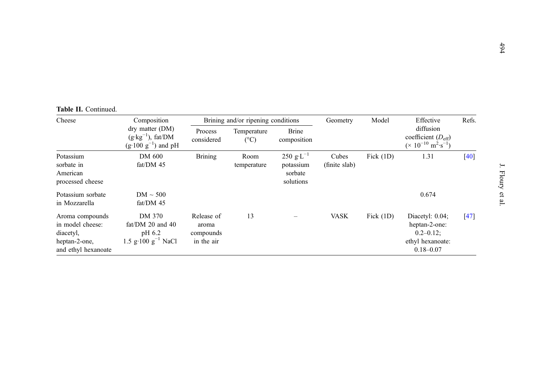| Table II. Continued. |  |
|----------------------|--|
|----------------------|--|

| Cheese                                                                                   | Composition                                                                              |                                                | Brining and/or ripening conditions |                                                                          |                        | Model       | Effective                                                                                          | Refs.  |
|------------------------------------------------------------------------------------------|------------------------------------------------------------------------------------------|------------------------------------------------|------------------------------------|--------------------------------------------------------------------------|------------------------|-------------|----------------------------------------------------------------------------------------------------|--------|
|                                                                                          | dry matter (DM)<br>$(g \cdot kg^{-1})$ , fat/DM<br>$(g \cdot 100 \text{ g}^{-1})$ and pH | Process<br>considered                          | Temperature<br>$(^{\circ}C)$       | <b>Brine</b><br>composition                                              |                        |             | diffusion<br>coefficient $(D_{\text{eff}})$<br>$(\times 10^{-10} \text{ m}^2 \cdot \text{s}^{-1})$ |        |
| Potassium<br>sorbate in<br>American<br>processed cheese                                  | DM 600<br>fat/DM 45                                                                      | <b>Brining</b>                                 | Room<br>temperature                | $250 \text{ g} \cdot \text{L}^{-1}$<br>potassium<br>sorbate<br>solutions | Cubes<br>(finite slab) | Fick $(1D)$ | 1.31                                                                                               | [40]   |
| Potassium sorbate<br>in Mozzarella                                                       | $DM \sim 500$<br>fat/DM 45                                                               |                                                |                                    |                                                                          |                        |             | 0.674                                                                                              |        |
| Aroma compounds<br>in model cheese:<br>diacetyl,<br>heptan-2-one,<br>and ethyl hexanoate | DM 370<br>fat/DM $20$ and $40$<br>pH <sub>6.2</sub><br>1.5 $g \cdot 100 g^{-1}$ NaCl     | Release of<br>aroma<br>compounds<br>in the air | 13                                 | -                                                                        | <b>VASK</b>            | Fick $(1D)$ | Diacetyl: 0.04;<br>heptan-2-one:<br>$0.2 - 0.12$ ;<br>ethyl hexanoate:<br>$0.18 - 0.07$            | $[47]$ |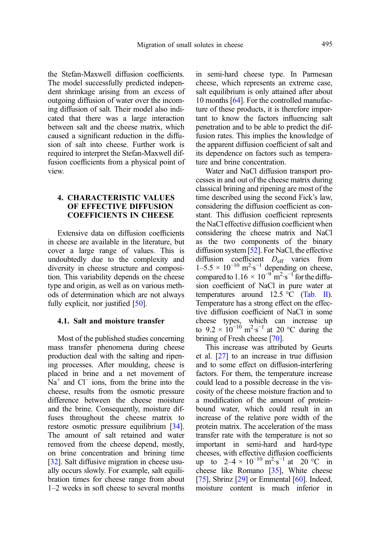the Stefan-Maxwell diffusion coefficients. The model successfully predicted independent shrinkage arising from an excess of outgoing diffusion of water over the incoming diffusion of salt. Their model also indicated that there was a large interaction between salt and the cheese matrix, which caused a significant reduction in the diffusion of salt into cheese. Further work is required to interpret the Stefan-Maxwell diffusion coefficients from a physical point of view.

# 4. CHARACTERISTIC VALUES OF EFFECTIVE DIFFUSION COEFFICIENTS IN CHEESE

Extensive data on diffusion coefficients in cheese are available in the literature, but cover a large range of values. This is undoubtedly due to the complexity and diversity in cheese structure and composition. This variability depends on the cheese type and origin, as well as on various methods of determination which are not always fully explicit, nor justified [\[50\]](#page-29-0).

#### 4.1. Salt and moisture transfer

Most of the published studies concerning mass transfer phenomena during cheese production deal with the salting and ripening processes. After moulding, cheese is placed in brine and a net movement of Na<sup>+</sup> and Cl<sup>−</sup> ions, from the brine into the cheese, results from the osmotic pressure difference between the cheese moisture and the brine. Consequently, moisture diffuses throughout the cheese matrix to restore osmotic pressure equilibrium [\[34\]](#page-28-0). The amount of salt retained and water removed from the cheese depend, mostly, on brine concentration and brining time [[32](#page-28-0)]. Salt diffusive migration in cheese usually occurs slowly. For example, salt equilibration times for cheese range from about 1–2 weeks in soft cheese to several months

in semi-hard cheese type. In Parmesan cheese, which represents an extreme case, salt equilibrium is only attained after about 10 months [[64](#page-30-0)]. For the controlled manufacture of these products, it is therefore important to know the factors influencing salt penetration and to be able to predict the diffusion rates. This implies the knowledge of the apparent diffusion coefficient of salt and its dependence on factors such as temperature and brine concentration.

Water and NaCl diffusion transport processes in and out of the cheese matrix during classical brining and ripening are most of the time described using the second Fick's law, considering the diffusion coefficient as constant. This diffusion coefficient represents the NaCl effective diffusion coefficient when considering the cheese matrix and NaCl as the two components of the binary diffusion system [\[52\]](#page-29-0). For NaCl, the effective diffusion coefficient  $D_{\text{eff}}$  varies from  $1-5.5 \times 10^{-10}$  m<sup>2</sup>·s<sup>-1</sup> depending on cheese, compared to  $1.16 \times 10^{-9}$  m<sup>2</sup>·s<sup>-1</sup> for the diffusion coefficient of NaCl in pure water at temperatures around 12.5 °C [\(Tab. II](#page-13-0)). Temperature has a strong effect on the effective diffusion coefficient of NaCl in some cheese types, which can increase up to  $9.2 \times 10^{-10}$  m<sup>2</sup>⋅s<sup>-1</sup> at 20 °C during the brining of Fresh cheese [\[70\]](#page-30-0).

This increase was attributed by Geurts et al. [\[27](#page-28-0)] to an increase in true diffusion and to some effect on diffusion-interfering factors. For them, the temperature increase could lead to a possible decrease in the viscosity of the cheese moisture fraction and to a modification of the amount of proteinbound water, which could result in an increase of the relative pore width of the protein matrix. The acceleration of the mass transfer rate with the temperature is not so important in semi-hard and hard-type cheeses, with effective diffusion coefficients up to  $2-4 \times 10^{-10} \text{ m}^2 \text{·s}^{-1}$  at 20 °C in cheese like Romano [[35](#page-28-0)], White cheese [[75\]](#page-30-0), Sbrinz [[29](#page-28-0)] or Emmental  $[60]$  $[60]$ . Indeed, moisture content is much inferior in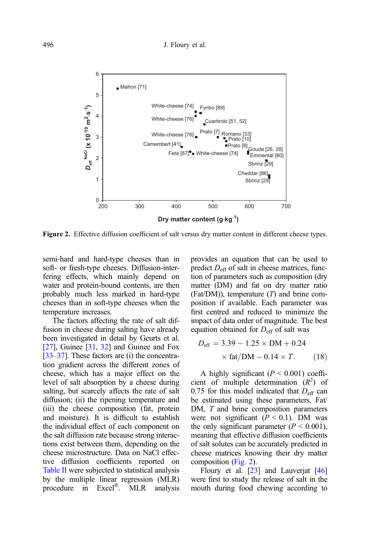<span id="page-19-0"></span>

Figure 2. Effective diffusion coefficient of salt versus dry matter content in different cheese types.

semi-hard and hard-type cheeses than in soft- or fresh-type cheeses. Diffusion-interfering effects, which mainly depend on water and protein-bound contents, are then probably much less marked in hard-type cheeses than in soft-type cheeses when the temperature increases.

The factors affecting the rate of salt diffusion in cheese during salting have already been investigated in detail by Geurts et al. [\[27](#page-28-0)], Guinee [[31](#page-28-0), [32\]](#page-28-0) and Guinee and Fox [\[33](#page-28-0)–[37\]](#page-28-0). These factors are (i) the concentration gradient across the different zones of cheese, which has a major effect on the level of salt absorption by a cheese during salting, but scarcely affects the rate of salt diffusion; (ii) the ripening temperature and (iii) the cheese composition (fat, protein and moisture). It is difficult to establish the individual effect of each component on the salt diffusion rate because strong interactions exist between them, depending on the cheese microstructure. Data on NaCl effective diffusion coefficients reported on [Table II](#page-13-0) were subjected to statistical analysis by the multiple linear regression (MLR) procedure in Excel®. MLR analysis provides an equation that can be used to predict  $D_{\text{eff}}$  of salt in cheese matrices, function of parameters such as composition (dry matter (DM) and fat on dry matter ratio  $(Fat/DM)$ , temperature  $(T)$  and brine composition if available. Each parameter was first centred and reduced to minimize the impact of data order of magnitude. The best equation obtained for  $D_{\text{eff}}$  of salt was

$$
D_{\text{eff}} = 3.39 - 1.25 \times \text{DM} + 0.24
$$
  
× fat/DM – 0.14 × T. (18)

A highly significant  $(P < 0.001)$  coefficient of multiple determination  $(R^2)$  of 0.75 for this model indicated that  $D_{\text{eff}}$  can be estimated using these parameters. Fat/ DM, T and brine composition parameters were not significant  $(P < 0.1)$ . DM was the only significant parameter  $(P < 0.001)$ , meaning that effective diffusion coefficients of salt solutes can be accurately predicted in cheese matrices knowing their dry matter composition (Fig. 2).

Floury et al. [\[23\]](#page-28-0) and Lauverjat [[46](#page-29-0)] were first to study the release of salt in the mouth during food chewing according to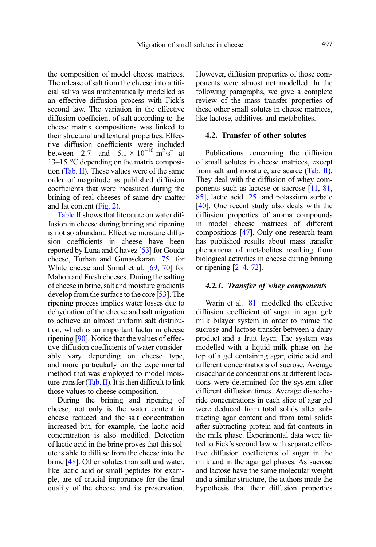the composition of model cheese matrices. The release of salt from the cheese into artificial saliva was mathematically modelled as an effective diffusion process with Fick's second law. The variation in the effective diffusion coefficient of salt according to the cheese matrix compositions was linked to their structural and textural properties. Effective diffusion coefficients were included between 2.7 and  $5.1 \times 10^{-10} \text{ m}^2 \text{·s}^{-1}$  at 13–15 °C depending on the matrix composition ([Tab. II\)](#page-13-0). These values were of the same order of magnitude as published diffusion coefficients that were measured during the brining of real cheeses of same dry matter and fat content [\(Fig. 2](#page-19-0)).

[Table II](#page-13-0) shows that literature on water diffusion in cheese during brining and ripening is not so abundant. Effective moisture diffusion coefficients in cheese have been reported by Luna and Chavez [\[53\]](#page-29-0) for Gouda cheese, Turhan and Gunasekaran [\[75\]](#page-30-0) for White cheese and Simal et al. [\[69,](#page-30-0) [70\]](#page-30-0) for Mahon and Fresh cheeses. During the salting of cheese in brine, salt and moisture gradients develop from the surface to the core [[53](#page-29-0)]. The ripening process implies water losses due to dehydration of the cheese and salt migration to achieve an almost uniform salt distribution, which is an important factor in cheese ripening [\[90](#page-31-0)]. Notice that the values of effective diffusion coefficients of water considerably vary depending on cheese type, and more particularly on the experimental method that was employed to model moisture transfer [\(Tab. II\)](#page-13-0). It is then difficult to link those values to cheese composition.

During the brining and ripening of cheese, not only is the water content in cheese reduced and the salt concentration increased but, for example, the lactic acid concentration is also modified. Detection of lactic acid in the brine proves that this solute is able to diffuse from the cheese into the brine [[48](#page-29-0)]. Other solutes than salt and water, like lactic acid or small peptides for example, are of crucial importance for the final quality of the cheese and its preservation.

However, diffusion properties of those components were almost not modelled. In the following paragraphs, we give a complete review of the mass transfer properties of these other small solutes in cheese matrices, like lactose, additives and metabolites.

# 4.2. Transfer of other solutes

Publications concerning the diffusion of small solutes in cheese matrices, except from salt and moisture, are scarce [\(Tab. II](#page-13-0)). They deal with the diffusion of whey components such as lactose or sucrose [\[11,](#page-27-0) [81](#page-30-0), [85](#page-30-0)], lactic acid [\[25](#page-28-0)] and potassium sorbate [[40\]](#page-29-0). One recent study also deals with the diffusion properties of aroma compounds in model cheese matrices of different compositions [\[47](#page-29-0)]. Only one research team has published results about mass transfer phenomena of metabolites resulting from biological activities in cheese during brining or ripening  $[2-4, 72]$  $[2-4, 72]$  $[2-4, 72]$  $[2-4, 72]$  $[2-4, 72]$  $[2-4, 72]$  $[2-4, 72]$ .

# 4.2.1. Transfer of whey components

Warin et al. [\[81](#page-30-0)] modelled the effective diffusion coefficient of sugar in agar gel/ milk bilayer system in order to mimic the sucrose and lactose transfer between a dairy product and a fruit layer. The system was modelled with a liquid milk phase on the top of a gel containing agar, citric acid and different concentrations of sucrose. Average disaccharide concentrations at different locations were determined for the system after different diffusion times. Average disaccharide concentrations in each slice of agar gel were deduced from total solids after subtracting agar content and from total solids after subtracting protein and fat contents in the milk phase. Experimental data were fitted to Fick's second law with separate effective diffusion coefficients of sugar in the milk and in the agar gel phases. As sucrose and lactose have the same molecular weight and a similar structure, the authors made the hypothesis that their diffusion properties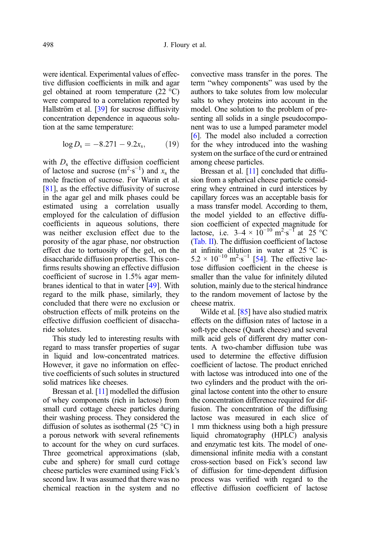were identical. Experimental values of effective diffusion coefficients in milk and agar gel obtained at room temperature  $(22 \degree C)$ were compared to a correlation reported by Hallström et al. [\[39\]](#page-29-0) for sucrose diffusivity concentration dependence in aqueous solution at the same temperature:

$$
\log D_{\rm s} = -8.271 - 9.2x_{\rm s}, \qquad (19)
$$

with  $D_s$  the effective diffusion coefficient of lactose and sucrose  $(m^2 \cdot s^{-1})$  and  $x_s$  the mole fraction of sucrose. For Warin et al. [[81\]](#page-30-0), as the effective diffusivity of sucrose in the agar gel and milk phases could be estimated using a correlation usually employed for the calculation of diffusion coefficients in aqueous solutions, there was neither exclusion effect due to the porosity of the agar phase, nor obstruction effect due to tortuosity of the gel, on the disaccharide diffusion properties. This confirms results showing an effective diffusion coefficient of sucrose in 1.5% agar membranes identical to that in water [\[49](#page-29-0)]. With regard to the milk phase, similarly, they concluded that there were no exclusion or obstruction effects of milk proteins on the effective diffusion coefficient of disaccharide solutes.

This study led to interesting results with regard to mass transfer properties of sugar in liquid and low-concentrated matrices. However, it gave no information on effective coefficients of such solutes in structured solid matrices like cheeses.

Bressan et al. [[11](#page-27-0)] modelled the diffusion of whey components (rich in lactose) from small curd cottage cheese particles during their washing process. They considered the diffusion of solutes as isothermal (25 °C) in a porous network with several refinements to account for the whey on curd surfaces. Three geometrical approximations (slab, cube and sphere) for small curd cottage cheese particles were examined using Fick's second law. It was assumed that there was no chemical reaction in the system and no convective mass transfer in the pores. The term "whey components" was used by the authors to take solutes from low molecular salts to whey proteins into account in the model. One solution to the problem of presenting all solids in a single pseudocomponent was to use a lumped parameter model [[6](#page-27-0)]. The model also included a correction for the whey introduced into the washing system on the surface of the curd or entrained among cheese particles.

Bressan et al. [\[11\]](#page-27-0) concluded that diffusion from a spherical cheese particle considering whey entrained in curd interstices by capillary forces was an acceptable basis for a mass transfer model. According to them, the model yielded to an effective diffusion coefficient of expected magnitude for lactose, i.e.  $3-4 \times 10^{-10}$  m<sup>2</sup>·s<sup>-1</sup> at 25 °C ([Tab. II\)](#page-13-0). The diffusion coefficient of lactose at infinite dilution in water at 25 °C is  $5.2 \times 10^{-10} \text{ m}^2 \text{ s}^{-1}$  [\[54\]](#page-29-0). The effective lactose diffusion coefficient in the cheese is smaller than the value for infinitely diluted solution, mainly due to the sterical hindrance to the random movement of lactose by the cheese matrix.

Wilde et al. [\[85\]](#page-30-0) have also studied matrix effects on the diffusion rates of lactose in a soft-type cheese (Quark cheese) and several milk acid gels of different dry matter contents. A two-chamber diffusion tube was used to determine the effective diffusion coefficient of lactose. The product enriched with lactose was introduced into one of the two cylinders and the product with the original lactose content into the other to ensure the concentration difference required for diffusion. The concentration of the diffusing lactose was measured in each slice of 1 mm thickness using both a high pressure liquid chromatography (HPLC) analysis and enzymatic test kits. The model of onedimensional infinite media with a constant cross-section based on Fick's second law of diffusion for time-dependent diffusion process was verified with regard to the effective diffusion coefficient of lactose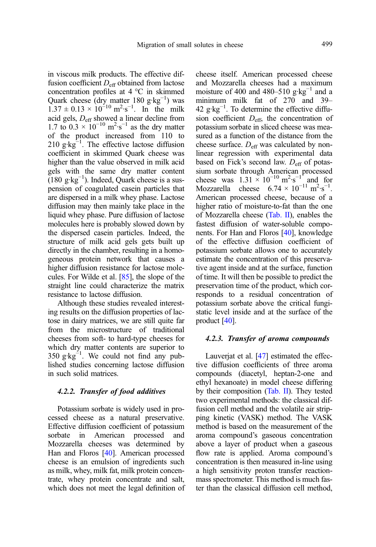in viscous milk products. The effective diffusion coefficient  $D_{\text{eff}}$  obtained from lactose concentration profiles at 4 °C in skimmed Quark cheese (dry matter 180 g·kg−<sup>1</sup> ) was  $1.37 \pm 0.13 \times 10^{-10} \text{ m}^2 \text{ s}^{-1}$ . In the milk acid gels,  $D_{\text{eff}}$  showed a linear decline from 1.7 to  $0.3 \times 10^{-10}$  m<sup>2</sup>·s<sup>-1</sup> as the dry matter of the product increased from 110 to  $210$  g·kg<sup>-1</sup>. The effective lactose diffusion coefficient in skimmed Quark cheese was higher than the value observed in milk acid gels with the same dry matter content  $(180 \text{ g} \cdot \text{kg}^{-1})$ . Indeed, Quark cheese is a suspension of coagulated casein particles that are dispersed in a milk whey phase. Lactose diffusion may then mainly take place in the liquid whey phase. Pure diffusion of lactose molecules here is probably slowed down by the dispersed casein particles. Indeed, the structure of milk acid gels gets built up directly in the chamber, resulting in a homogeneous protein network that causes a higher diffusion resistance for lactose molecules. For Wilde et al. [\[85](#page-30-0)], the slope of the straight line could characterize the matrix resistance to lactose diffusion.

Although these studies revealed interesting results on the diffusion properties of lactose in dairy matrices, we are still quite far from the microstructure of traditional cheeses from soft- to hard-type cheeses for which dry matter contents are superior to 350  $g \cdot kg^{-1}$ . We could not find any published studies concerning lactose diffusion in such solid matrices.

# 4.2.2. Transfer of food additives

Potassium sorbate is widely used in processed cheese as a natural preservative. Effective diffusion coefficient of potassium sorbate in American processed and Mozzarella cheeses was determined by Han and Floros [\[40\]](#page-29-0). American processed cheese is an emulsion of ingredients such as milk, whey, milk fat, milk protein concentrate, whey protein concentrate and salt, which does not meet the legal definition of cheese itself. American processed cheese and Mozzarella cheeses had a maximum moisture of 400 and 480–510 g·kg<sup>-1</sup> and a minimum milk fat of 270 and 39–  $42 \text{ g} \cdot \text{kg}^{-1}$ . To determine the effective diffusion coefficient  $D_{\text{eff}}$ , the concentration of potassium sorbate in sliced cheese was measured as a function of the distance from the cheese surface.  $D_{\text{eff}}$  was calculated by nonlinear regression with experimental data based on Fick's second law.  $D_{\text{eff}}$  of potassium sorbate through American processed cheese was  $1.31 \times 10^{-10} \text{ m}^2 \text{ s}^{-1}$  and for Mozzarella cheese  $6.74 \times 10^{-11} \text{ m}^2 \text{·s}^{-1}$ . American processed cheese, because of a higher ratio of moisture-to-fat than the one of Mozzarella cheese [\(Tab. II\)](#page-13-0), enables the fastest diffusion of water-soluble components. For Han and Floros [\[40\]](#page-29-0), knowledge of the effective diffusion coefficient of potassium sorbate allows one to accurately estimate the concentration of this preservative agent inside and at the surface, function of time. It will then be possible to predict the preservation time of the product, which corresponds to a residual concentration of potassium sorbate above the critical fungistatic level inside and at the surface of the product [\[40\]](#page-29-0).

#### 4.2.3. Transfer of aroma compounds

Lauverjat et al. [\[47\]](#page-29-0) estimated the effective diffusion coefficients of three aroma compounds (diacetyl, heptan-2-one and ethyl hexanoate) in model cheese differing by their composition [\(Tab. II\)](#page-13-0). They tested two experimental methods: the classical diffusion cell method and the volatile air stripping kinetic (VASK) method. The VASK method is based on the measurement of the aroma compound's gaseous concentration above a layer of product when a gaseous flow rate is applied. Aroma compound's concentration is then measured in-line using a high sensitivity proton transfer reactionmass spectrometer. This method is much faster than the classical diffusion cell method,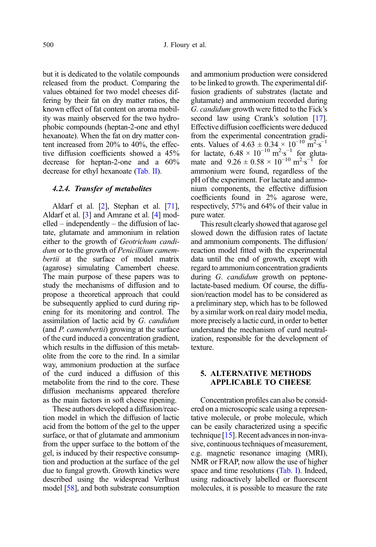but it is dedicated to the volatile compounds released from the product. Comparing the values obtained for two model cheeses differing by their fat on dry matter ratios, the known effect of fat content on aroma mobility was mainly observed for the two hydrophobic compounds (heptan-2-one and ethyl hexanoate). When the fat on dry matter content increased from 20% to 40%, the effective diffusion coefficients showed a 45% decrease for heptan-2-one and a 60% decrease for ethyl hexanoate [\(Tab. II\)](#page-13-0).

# 4.2.4. Transfer of metabolites

Aldarf et al. [[2\]](#page-27-0), Stephan et al. [\[71\]](#page-30-0), Aldarf et al. [[3\]](#page-27-0) and Amrane et al. [\[4\]](#page-27-0) modelled – independently – the diffusion of lactate, glutamate and ammonium in relation either to the growth of Geotrichum candidum or to the growth of Penicillium camembertii at the surface of model matrix (agarose) simulating Camembert cheese. The main purpose of these papers was to study the mechanisms of diffusion and to propose a theoretical approach that could be subsequently applied to curd during ripening for its monitoring and control. The assimilation of lactic acid by G. candidum (and P. camembertii) growing at the surface of the curd induced a concentration gradient, which results in the diffusion of this metabolite from the core to the rind. In a similar way, ammonium production at the surface of the curd induced a diffusion of this metabolite from the rind to the core. These diffusion mechanisms appeared therefore as the main factors in soft cheese ripening.

These authors developed a diffusion/reaction model in which the diffusion of lactic acid from the bottom of the gel to the upper surface, or that of glutamate and ammonium from the upper surface to the bottom of the gel, is induced by their respective consumption and production at the surface of the gel due to fungal growth. Growth kinetics were described using the widespread Verlhust model [\[58\]](#page-29-0), and both substrate consumption and ammonium production were considered to be linked to growth. The experimental diffusion gradients of substrates (lactate and glutamate) and ammonium recorded during G. candidum growth were fitted to the Fick's second law using Crank's solution [\[17](#page-28-0)]. Effective diffusion coefficients were deduced from the experimental concentration gradients. Values of  $4.63 \pm 0.34 \times 10^{-10} \text{ m}^2 \text{ s}^{-1}$ for lactate,  $6.48 \times 10^{-10} \text{ m}^2 \text{·s}^{-1}$  for glutamate and  $9.26 \pm 0.58 \times 10^{-10} \text{ m}^2 \text{·s}^{-1}$  for ammonium were found, regardless of the pH of the experiment. For lactate and ammonium components, the effective diffusion coefficients found in 2% agarose were, respectively, 57% and 64% of their value in pure water.

This result clearly showed that agarose gel slowed down the diffusion rates of lactate and ammonium components. The diffusion/ reaction model fitted with the experimental data until the end of growth, except with regard to ammonium concentration gradients during G. *candidum* growth on peptonelactate-based medium. Of course, the diffusion/reaction model has to be considered as a preliminary step, which has to be followed by a similar work on real dairy model media, more precisely a lactic curd, in order to better understand the mechanism of curd neutralization, responsible for the development of texture.

# 5. ALTERNATIVE METHODS APPLICABLE TO CHEESE

Concentration profiles can also be considered on a microscopic scale using a representative molecule, or probe molecule, which can be easily characterized using a specific technique [\[15](#page-28-0)]. Recent advances in non-invasive, continuous techniques of measurement, e.g. magnetic resonance imaging (MRI), NMR or FRAP, now allow the use of higher space and time resolutions [\(Tab. I](#page-5-0)). Indeed, using radioactively labelled or fluorescent molecules, it is possible to measure the rate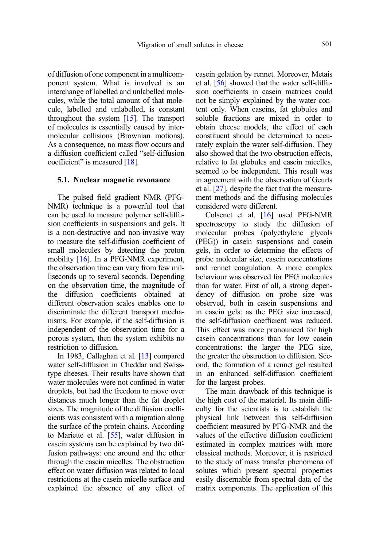of diffusion of one component in a multicomponent system. What is involved is an interchange of labelled and unlabelled molecules, while the total amount of that molecule, labelled and unlabelled, is constant throughout the system  $[15]$  $[15]$  $[15]$ . The transport of molecules is essentially caused by intermolecular collisions (Brownian motions). As a consequence, no mass flow occurs and a diffusion coefficient called "self-diffusion coefficient" is measured  $[18]$  $[18]$  $[18]$ .

#### 5.1. Nuclear magnetic resonance

The pulsed field gradient NMR (PFG-NMR) technique is a powerful tool that can be used to measure polymer self-diffusion coefficients in suspensions and gels. It is a non-destructive and non-invasive way to measure the self-diffusion coefficient of small molecules by detecting the proton mobility [[16](#page-28-0)]. In a PFG-NMR experiment, the observation time can vary from few milliseconds up to several seconds. Depending on the observation time, the magnitude of the diffusion coefficients obtained at different observation scales enables one to discriminate the different transport mechanisms. For example, if the self-diffusion is independent of the observation time for a porous system, then the system exhibits no restriction to diffusion.

In 1983, Callaghan et al. [[13](#page-28-0)] compared water self-diffusion in Cheddar and Swisstype cheeses. Their results have shown that water molecules were not confined in water droplets, but had the freedom to move over distances much longer than the fat droplet sizes. The magnitude of the diffusion coefficients was consistent with a migration along the surface of the protein chains. According to Mariette et al. [\[55\]](#page-29-0), water diffusion in casein systems can be explained by two diffusion pathways: one around and the other through the casein micelles. The obstruction effect on water diffusion was related to local restrictions at the casein micelle surface and explained the absence of any effect of casein gelation by rennet. Moreover, Metais et al. [[56](#page-29-0)] showed that the water self-diffusion coefficients in casein matrices could not be simply explained by the water content only. When caseins, fat globules and soluble fractions are mixed in order to obtain cheese models, the effect of each constituent should be determined to accurately explain the water self-diffusion. They also showed that the two obstruction effects, relative to fat globules and casein micelles, seemed to be independent. This result was in agreement with the observation of Geurts et al. [\[27](#page-28-0)], despite the fact that the measurement methods and the diffusing molecules considered were different.

Colsenet et al. [\[16](#page-28-0)] used PFG-NMR spectroscopy to study the diffusion of molecular probes (polyethylene glycols (PEG)) in casein suspensions and casein gels, in order to determine the effects of probe molecular size, casein concentrations and rennet coagulation. A more complex behaviour was observed for PEG molecules than for water. First of all, a strong dependency of diffusion on probe size was observed, both in casein suspensions and in casein gels: as the PEG size increased, the self-diffusion coefficient was reduced. This effect was more pronounced for high casein concentrations than for low casein concentrations: the larger the PEG size, the greater the obstruction to diffusion. Second, the formation of a rennet gel resulted in an enhanced self-diffusion coefficient for the largest probes.

The main drawback of this technique is the high cost of the material. Its main difficulty for the scientists is to establish the physical link between this self-diffusion coefficient measured by PFG-NMR and the values of the effective diffusion coefficient estimated in complex matrices with more classical methods. Moreover, it is restricted to the study of mass transfer phenomena of solutes which present spectral properties easily discernable from spectral data of the matrix components. The application of this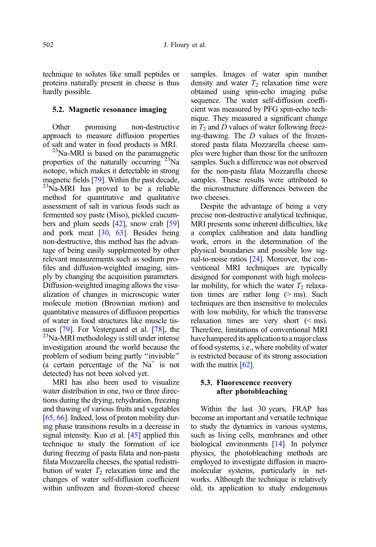technique to solutes like small peptides or proteins naturally present in cheese is thus hardly possible.

#### 5.2. Magnetic resonance imaging

Other promising non-destructive approach to measure diffusion properties<br>of salt and water in food products is MRI.

 $^{23}$ Na-MRI is based on the paramagnetic properties of the naturally occurring  $^{23}$ Na isotope, which makes it detectable in strong magnetic fields [[79](#page-30-0)]. Within the past decade,  $^{23}$ Na-MRI has proved to be a reliable method for quantitative and qualitative assessment of salt in various foods such as fermented soy paste (Miso), pickled cucumbers and plum seeds [\[42\]](#page-29-0), snow crab [\[59](#page-29-0)] and pork meat [[30](#page-28-0), [63\]](#page-30-0). Besides being non-destructive, this method has the advantage of being easily supplemented by other relevant measurements such as sodium profiles and diffusion-weighted imaging, simply by changing the acquisition parameters. Diffusion-weighted imaging allows the visualization of changes in microscopic water molecule motion (Brownian motion) and quantitative measures of diffusion properties of water in food structures like muscle tissues [\[79](#page-30-0)]. For Vestergaard et al. [\[78\]](#page-30-0), the  $^{23}$ Na-MRI methodology is still under intense investigation around the world because the problem of sodium being partly ''invisible'' (a certain percentage of the  $Na<sup>+</sup>$  is not detected) has not been solved yet.

MRI has also been used to visualize water distribution in one, two or three directions during the drying, rehydration, freezing and thawing of various fruits and vegetables [\[65](#page-30-0), [66](#page-30-0)]. Indeed, loss of proton mobility during phase transitions results in a decrease in signal intensity. Kuo et al. [\[45\]](#page-29-0) applied this technique to study the formation of ice during freezing of pasta filata and non-pasta filata Mozzarella cheeses, the spatial redistribution of water  $T_2$  relaxation time and the changes of water self-diffusion coefficient within unfrozen and frozen-stored cheese

samples. Images of water spin number density and water  $T<sub>2</sub>$  relaxation time were obtained using spin-echo imaging pulse sequence. The water self-diffusion coefficient was measured by PFG spin-echo technique. They measured a significant change in  $T_2$  and D values of water following freezing-thawing. The D values of the frozenstored pasta filata Mozzarella cheese samples were higher than those for the unfrozen samples. Such a difference was not observed for the non-pasta filata Mozzarella cheese samples. These results were attributed to the microstructure differences between the two cheeses.

Despite the advantage of being a very precise non-destructive analytical technique, MRI presents some inherent difficulties, like a complex calibration and data handling work, errors in the determination of the physical boundaries and possible low signal-to-noise ratios [[24](#page-28-0)]. Moreover, the conventional MRI techniques are typically designed for component with high molecular mobility, for which the water  $T_2$  relaxation times are rather long (> ms). Such techniques are then insensitive to molecules with low mobility, for which the transverse relaxation times are very short (< ms). Therefore, limitations of conventional MRI have hampered its application to a major class of food systems, i.e., where mobility of water is restricted because of its strong association with the matrix  $[62]$  $[62]$  $[62]$ .

# 5.3. Fluorescence recovery after photobleaching

Within the last 30 years, FRAP has become an important and versatile technique to study the dynamics in various systems, such as living cells, membranes and other biological environments [[14](#page-28-0)]. In polymer physics, the photobleaching methods are employed to investigate diffusion in macromolecular systems, particularly in networks. Although the technique is relatively old, its application to study endogenous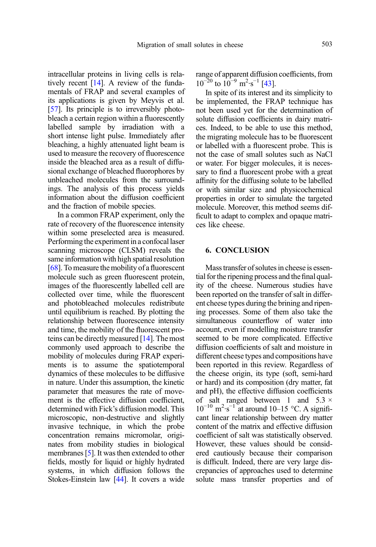intracellular proteins in living cells is relatively recent [[14\]](#page-28-0). A review of the fundamentals of FRAP and several examples of its applications is given by Meyvis et al. [[57](#page-29-0)]. Its principle is to irreversibly photobleach a certain region within a fluorescently labelled sample by irradiation with a short intense light pulse. Immediately after bleaching, a highly attenuated light beam is used to measure the recovery of fluorescence inside the bleached area as a result of diffusional exchange of bleached fluorophores by unbleached molecules from the surroundings. The analysis of this process yields information about the diffusion coefficient and the fraction of mobile species.

In a common FRAP experiment, only the rate of recovery of the fluorescence intensity within some preselected area is measured. Performing the experiment in a confocal laser scanning microscope (CLSM) reveals the same information with high spatial resolution [[68](#page-30-0)]. To measure the mobility of a fluorescent molecule such as green fluorescent protein, images of the fluorescently labelled cell are collected over time, while the fluorescent and photobleached molecules redistribute until equilibrium is reached. By plotting the relationship between fluorescence intensity and time, the mobility of the fluorescent proteins can be directly measured [\[14\]](#page-28-0). The most commonly used approach to describe the mobility of molecules during FRAP experiments is to assume the spatiotemporal dynamics of these molecules to be diffusive in nature. Under this assumption, the kinetic parameter that measures the rate of movement is the effective diffusion coefficient, determined with Fick's diffusion model. This microscopic, non-destructive and slightly invasive technique, in which the probe concentration remains micromolar, originates from mobility studies in biological membranes [[5\]](#page-27-0). It was then extended to other fields, mostly for liquid or highly hydrated systems, in which diffusion follows the Stokes-Einstein law [\[44](#page-29-0)]. It covers a wide range of apparent diffusion coefficients, from  $10^{-20}$  to  $10^{-9}$  m<sup>2</sup>·s<sup>-1</sup> [[43](#page-29-0)].

In spite of its interest and its simplicity to be implemented, the FRAP technique has not been used yet for the determination of solute diffusion coefficients in dairy matrices. Indeed, to be able to use this method, the migrating molecule has to be fluorescent or labelled with a fluorescent probe. This is not the case of small solutes such as NaCl or water. For bigger molecules, it is necessary to find a fluorescent probe with a great affinity for the diffusing solute to be labelled or with similar size and physicochemical properties in order to simulate the targeted molecule. Moreover, this method seems difficult to adapt to complex and opaque matrices like cheese.

# 6. CONCLUSION

Mass transfer of solutes in cheese is essential for the ripening process and thefinal quality of the cheese. Numerous studies have been reported on the transfer of salt in different cheese types during the brining and ripening processes. Some of them also take the simultaneous counterflow of water into account, even if modelling moisture transfer seemed to be more complicated. Effective diffusion coefficients of salt and moisture in different cheese types and compositions have been reported in this review. Regardless of the cheese origin, its type (soft, semi-hard or hard) and its composition (dry matter, fat and pH), the effective diffusion coefficients of salt ranged between 1 and  $5.3 \times$  $10^{-10}$  m<sup>2</sup>·s<sup>-1</sup> at around 10–15 °C. A significant linear relationship between dry matter content of the matrix and effective diffusion coefficient of salt was statistically observed. However, these values should be considered cautiously because their comparison is difficult. Indeed, there are very large discrepancies of approaches used to determine solute mass transfer properties and of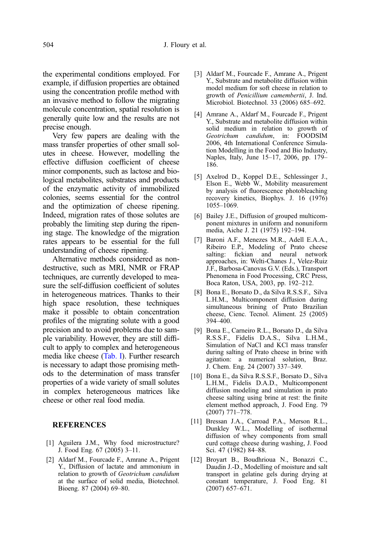<span id="page-27-0"></span>the experimental conditions employed. For example, if diffusion properties are obtained using the concentration profile method with an invasive method to follow the migrating molecule concentration, spatial resolution is generally quite low and the results are not precise enough.

Very few papers are dealing with the mass transfer properties of other small solutes in cheese. However, modelling the effective diffusion coefficient of cheese minor components, such as lactose and biological metabolites, substrates and products of the enzymatic activity of immobilized colonies, seems essential for the control and the optimization of cheese ripening. Indeed, migration rates of those solutes are probably the limiting step during the ripening stage. The knowledge of the migration rates appears to be essential for the full understanding of cheese ripening.

Alternative methods considered as nondestructive, such as MRI, NMR or FRAP techniques, are currently developed to measure the self-diffusion coefficient of solutes in heterogeneous matrices. Thanks to their high space resolution, these techniques make it possible to obtain concentration profiles of the migrating solute with a good precision and to avoid problems due to sample variability. However, they are still difficult to apply to complex and heterogeneous media like cheese [\(Tab. I\)](#page-5-0). Further research is necessary to adapt those promising methods to the determination of mass transfer properties of a wide variety of small solutes in complex heterogeneous matrices like cheese or other real food media.

# **REFERENCES**

- [1] Aguilera J.M., Why food microstructure? J. Food Eng. 67 (2005) 3–11.
- [2] Aldarf M., Fourcade F., Amrane A., Prigent Y., Diffusion of lactate and ammonium in relation to growth of Geotrichum candidum at the surface of solid media, Biotechnol. Bioeng. 87 (2004) 69–80.
- [3] Aldarf M., Fourcade F., Amrane A., Prigent Y., Substrate and metabolite diffusion within model medium for soft cheese in relation to growth of Penicillium camembertii, J. Ind. Microbiol. Biotechnol. 33 (2006) 685–692.
- [4] Amrane A., Aldarf M., Fourcade F., Prigent Y., Substrate and metabolite diffusion within solid medium in relation to growth of Geotrichum candidum, in: FOODSIM 2006, 4th International Conference Simulation Modelling in the Food and Bio Industry, Naples, Italy, June 15–17, 2006, pp. 179– 186.
- [5] Axelrod D., Koppel D.E., Schlessinger J., Elson E., Webb W., Mobility measurement by analysis of fluorescence photobleaching recovery kinetics, Biophys. J. 16 (1976) 1055–1069.
- [6] Bailey J.E., Diffusion of grouped multicomponent mixtures in uniform and nonuniform media, Aiche J. 21 (1975) 192–194.
- [7] Baroni A.F., Menezes M.R., Adell E.A.A., Ribeiro E.P., Modeling of Prato cheese salting: fickian and neural network approaches, in: Welti-Chanes J., Velez-Ruiz J.F., Barbosa-Canovas G.V. (Eds.), Transport Phenomena in Food Processing, CRC Press, Boca Raton, USA, 2003, pp. 192–212.
- [8] Bona E., Borsato D., da Silva R.S.S.F., Silva L.H.M., Multicomponent diffusion during simultaneous brining of Prato Brazilian cheese, Cienc. Tecnol. Aliment. 25 (2005) 394–400.
- [9] Bona E., Carneiro R.L., Borsato D., da Silva R.S.S.F., Fidelis D.A.S., Silva L.H.M., Simulation of NaCl and KCl mass transfer during salting of Prato cheese in brine with agitation: a numerical solution, Braz. J. Chem. Eng. 24 (2007) 337–349.
- [10] Bona E., da Silva R.S.S.F., Borsato D., Silva L.H.M., Fidelis D.A.D., Multicomponent diffusion modeling and simulation in prato cheese salting using brine at rest: the finite element method approach, J. Food Eng. 79 (2007) 771–778.
- [11] Bressan J.A., Carroad P.A., Merson R.L., Dunkley W.L., Modelling of isothermal diffusion of whey components from small curd cottage cheese during washing, J. Food Sci. 47 (1982) 84–88.
- [12] Broyart B., Boudhrioua N., Bonazzi C., Daudin J.-D., Modelling of moisture and salt transport in gelatine gels during drying at constant temperature, J. Food Eng. 81 (2007) 657–671.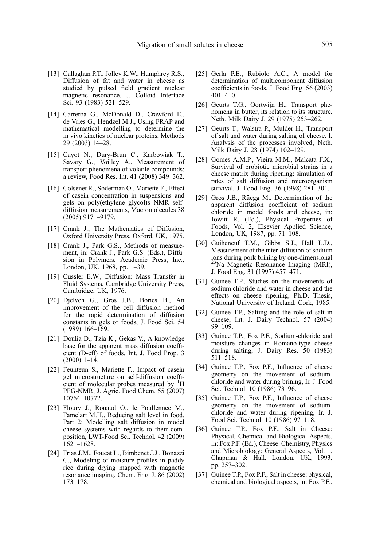- <span id="page-28-0"></span>[13] Callaghan P.T., Jolley K.W., Humphrey R.S., Diffusion of fat and water in cheese as studied by pulsed field gradient nuclear magnetic resonance, J. Colloid Interface Sci. 93 (1983) 521–529.
- [14] Carreroa G., McDonald D., Crawford E., de Vries G., Hendzel M.J., Using FRAP and mathematical modelling to determine the in vivo kinetics of nuclear proteins, Methods 29 (2003) 14–28.
- [15] Cayot N., Dury-Brun C., Karbowiak T., Savary G., Voilley A., Measurement of transport phenomena of volatile compounds: a review, Food Res. Int. 41 (2008) 349–362.
- [16] Colsenet R., Soderman O., Mariette F., Effect of casein concentration in suspensions and gels on poly(ethylene glycol)s NMR selfdiffusion measurements, Macromolecules 38 (2005) 9171–9179.
- [17] Crank J., The Mathematics of Diffusion, Oxford University Press, Oxford, UK, 1975.
- [18] Crank J., Park G.S., Methods of measurement, in: Crank J., Park G.S. (Eds.), Diffusion in Polymers, Academic Press, Inc., London, UK, 1968, pp. 1–39.
- [19] Cussler E.W., Diffusion: Mass Transfer in Fluid Systems, Cambridge University Press, Cambridge, UK, 1976.
- [20] Djelveh G., Gros J.B., Bories B., An improvement of the cell diffusion method for the rapid determination of diffusion constants in gels or foods, J. Food Sci. 54 (1989) 166–169.
- [21] Doulia D., Tzia K., Gekas V., A knowledge base for the apparent mass diffusion coefficient (D-eff) of foods, Int. J. Food Prop. 3 (2000) 1–14.
- [22] Feunteun S., Mariette F., Impact of casein gel microstructure on self-diffusion coefficient of molecular probes measured by  ${}^{1}$ H PFG-NMR, J. Agric. Food Chem. 55 (2007) 10764–10772.
- [23] Floury J., Rouaud O., le Poullennec M., Famelart M.H., Reducing salt level in food. Part 2: Modelling salt diffusion in model cheese systems with regards to their composition, LWT-Food Sci. Technol. 42 (2009) 1621–1628.
- [24] Frias J.M., Foucat L., Bimbenet J.J., Bonazzi C., Modeling of moisture profiles in paddy rice during drying mapped with magnetic resonance imaging, Chem. Eng. J. 86 (2002) 173–178.
- [25] Gerla P.E., Rubiolo A.C., A model for determination of multicomponent diffusion coefficients in foods, J. Food Eng. 56 (2003) 401–410.
- [26] Geurts T.G., Oortwijn H., Transport phenomena in butter, its relation to its structure, Neth. Milk Dairy J. 29 (1975) 253–262.
- [27] Geurts T., Walstra P., Mulder H., Transport of salt and water during salting of cheese. I. Analysis of the processes involved, Neth. Milk Dairy J. 28 (1974) 102–129.
- [28] Gomes A.M.P., Vieira M.M., Malcata F.X., Survival of probiotic microbial strains in a cheese matrix during ripening: simulation of rates of salt diffusion and microorganism survival, J. Food Eng. 36 (1998) 281–301.
- [29] Gros J.B., Rüegg M., Determination of the apparent diffusion coefficient of sodium chloride in model foods and cheese, in: Jowitt R. (Ed.), Physical Properties of Foods, Vol. 2, Elsevier Applied Science, London, UK, 1987, pp. 71–108.
- [30] Guiheneuf T.M., Gibbs S.J., Hall L.D., Measurement of the inter-diffusion of sodium ions during pork brining by one-dimensional <sup>23</sup>Na Magnetic Resonance Imaging (MRI), J. Food Eng. 31 (1997) 457–471.
- [31] Guinee T.P., Studies on the movements of sodium chloride and water in cheese and the effects on cheese ripening, Ph.D. Thesis, National University of Ireland, Cork, 1985.
- [32] Guinee T.P., Salting and the role of salt in cheese, Int. J. Dairy Technol. 57 (2004) 99–109.
- [33] Guinee T.P., Fox P.F., Sodium-chloride and moisture changes in Romano-type cheese during salting, J. Dairy Res. 50 (1983) 511–518.
- [34] Guinee T.P., Fox P.F., Influence of cheese geometry on the movement of sodiumchloride and water during brining, Ir. J. Food Sci. Technol. 10 (1986) 73–96.
- [35] Guinee T.P., Fox P.F., Influence of cheese geometry on the movement of sodiumchloride and water during ripening, Ir. J. Food Sci. Technol. 10 (1986) 97–118.
- [36] Guinee T.P., Fox P.F., Salt in Cheese: Physical, Chemical and Biological Aspects, in: Fox P.F. (Ed.), Cheese: Chemistry, Physics and Microbiology: General Aspects, Vol. 1, Chapman & Hall, London, UK, 1993, pp. 257–302.
- [37] Guinee T.P., Fox P.F., Salt in cheese: physical, chemical and biological aspects, in: Fox P.F.,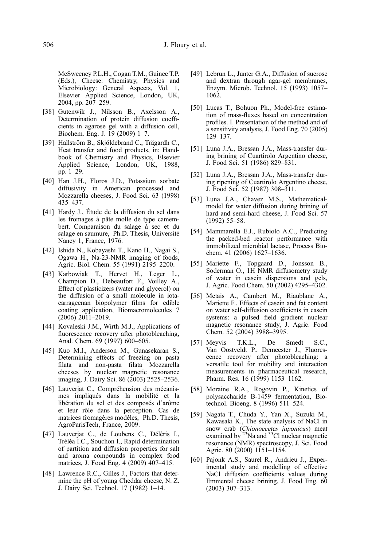<span id="page-29-0"></span>McSweeney P.L.H., Cogan T.M., Guinee T.P. (Eds.), Cheese: Chemistry, Physics and Microbiology: General Aspects, Vol. 1, Elsevier Applied Science, London, UK, 2004, pp. 207–259.

- [38] Gutenwik J., Nilsson B., Axelsson A., Determination of protein diffusion coefficients in agarose gel with a diffusion cell, Biochem. Eng. J. 19 (2009) 1–7.
- [39] Hallström B., Skjöldebrand C., Trägardh C., Heat transfer and food products, in: Handbook of Chemistry and Physics, Elsevier Applied Science, London, UK, 1988, pp. 1–29.
- [40] Han J.H., Floros J.D., Potassium sorbate diffusivity in American processed and Mozzarella cheeses, J. Food Sci. 63 (1998) 435–437.
- [41] Hardy J., Etude de la diffusion du sel dans les fromages à pâte molle de type camembert. Comparaison du salage à sec et du salage en saumure, Ph.D. Thesis, Université Nancy 1, France, 1976.
- [42] Ishida N., Kobayashi T., Kano H., Nagai S., Ogawa H., Na-23-NMR imaging of foods, Agric. Biol. Chem. 55 (1991) 2195–2200.
- [43] Karbowiak T., Hervet H., Leger L., Champion D., Debeaufort F., Voilley A., Effect of plasticizers (water and glycerol) on the diffusion of a small molecule in iotacarrageenan biopolymer films for edible coating application, Biomacromolecules 7 (2006) 2011–2019.
- [44] Kovaleski J.M., Wirth M.J., Applications of fluorescence recovery after photobleaching, Anal. Chem. 69 (1997) 600–605.
- [45] Kuo M.I., Anderson M., Gunasekaran S., Determining effects of freezing on pasta filata and non-pasta filata Mozzarella cheeses by nuclear magnetic resonance imaging, J. Dairy Sci. 86 (2003) 2525–2536.
- [46] Lauverjat C., Compréhension des mécanismes impliqués dans la mobilité et la libération du sel et des composés d'arôme et leur rôle dans la perception. Cas de matrices fromagères modèles, Ph.D. Thesis, AgroParisTech, France, 2009.
- [47] Lauverjat C., de Loubens C., Déléris I., Tréléa I.C., Souchon I., Rapid determination of partition and diffusion properties for salt and aroma compounds in complex food matrices, J. Food Eng. 4 (2009) 407–415.
- [48] Lawrence R.C., Gilles J., Factors that determine the pH of young Cheddar cheese, N. Z. J. Dairy Sci. Technol. 17 (1982) 1–14.
- [49] Lebrun L., Junter G.A., Diffusion of sucrose and dextran through agar-gel membranes, Enzym. Microb. Technol. 15 (1993) 1057– 1062.
- [50] Lucas T., Bohuon Ph., Model-free estimation of mass-fluxes based on concentration profiles. I. Presentation of the method and of a sensitivity analysis, J. Food Eng. 70 (2005) 129–137.
- [51] Luna J.A., Bressan J.A., Mass-transfer during brining of Cuartirolo Argentino cheese, J. Food Sci. 51 (1986) 829–831.
- [52] Luna J.A., Bressan J.A., Mass-transfer during ripening of Cuartirolo Argentino cheese, J. Food Sci. 52 (1987) 308–311.
- [53] Luna J.A., Chavez M.S., Mathematicalmodel for water diffusion during brining of hard and semi-hard cheese, J. Food Sci. 57 (1992) 55–58.
- [54] Mammarella E.J., Rubiolo A.C., Predicting the packed-bed reactor performance with immobilized microbial lactase, Process Biochem. 41 (2006) 1627–1636.
- [55] Mariette F., Topgaard D., Jonsson B., Soderman O., 1H NMR diffusometry study of water in casein dispersions and gels, J. Agric. Food Chem. 50 (2002) 4295–4302.
- [56] Metais A., Cambert M., Riaublanc A., Mariette F., Effects of casein and fat content on water self-diffusion coefficients in casein systems: a pulsed field gradient nuclear magnetic resonance study, J. Agric. Food Chem. 52 (2004) 3988–3995.
- [57] Meyvis T.K.L., De Smedt S.C., Van Oostveldt P., Demeester J., Fluorescence recovery after photobleaching: a versatile tool for mobility and interaction measurements in pharmaceutical research, Pharm. Res. 16 (1999) 1153–1162.
- [58] Moraine R.A., Rogovin P., Kinetics of polysaccharide B-1459 fermentation, Biotechnol. Bioeng. 8 (1996) 511–524.
- [59] Nagata T., Chuda Y., Yan X., Suzuki M., Kawasaki K., The state analysis of NaCl in snow crab (*Chionoecetes japonicus*) meat examined by <sup>23</sup>Na and <sup>35</sup>Cl nuclear magnetic resonance (NMR) spectroscopy, J. Sci. Food Agric. 80 (2000) 1151–1154.
- [60] Pajonk A.S., Saurel R., Andrieu J., Experimental study and modelling of effective NaCl diffusion coefficients values during Emmental cheese brining, J. Food Eng. 60 (2003) 307–313.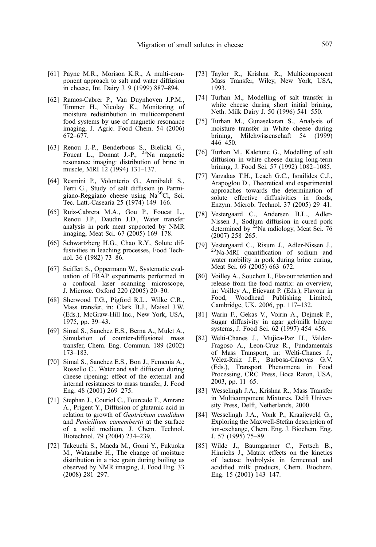- <span id="page-30-0"></span>[61] Payne M.R., Morison K.R., A multi-component approach to salt and water diffusion in cheese, Int. Dairy J. 9 (1999) 887–894.
- [62] Ramos-Cabrer P., Van Duynhoven J.P.M., Timmer H., Nicolay K., Monitoring of moisture redistribution in multicomponent food systems by use of magnetic resonance imaging, J. Agric. Food Chem. 54 (2006) 672–677.
- [63] Renou J.-P., Benderbous S., Bielicki G., Foucat L., Donnat J.-P.,  $2^3$ Na magnetic resonance imaging: distribution of brine in muscle, MRI 12 (1994) 131–137.
- [64] Resmini P., Volonterio G., Annibaldi S., Ferri G., Study of salt diffusion in Parmigiano-Reggiano cheese using Na36Cl, Sci. Tec. Latt.-Casearia 25 (1974) 149–166.
- [65] Ruiz-Cabrera M.A., Gou P., Foucat L., Renou J.P., Daudin J.D., Water transfer analysis in pork meat supported by NMR imaging, Meat Sci. 67 (2005) 169–178.
- [66] Schwartzberg H.G., Chao R.Y., Solute diffusivities in leaching processes, Food Technol. 36 (1982) 73–86.
- [67] Seiffert S., Oppermann W., Systematic evaluation of FRAP experiments performed in a confocal laser scanning microscope, J. Microsc. Oxford 220 (2005) 20–30.
- [68] Sherwood T.G., Pigford R.L., Wilke C.R., Mass transfer, in: Clark B.J., Maisel J.W. (Eds.), McGraw-Hill Inc., New York, USA, 1975, pp. 39–43.
- [69] Simal S., Sanchez E.S., Berna A., Mulet A., Simulation of counter-diffusional mass transfer, Chem. Eng. Commun. 189 (2002) 173–183.
- [70] Simal S., Sanchez E.S., Bon J., Femenia A., Rossello C., Water and salt diffusion during cheese ripening: effect of the external and internal resistances to mass transfer, J. Food Eng. 48 (2001) 269–275.
- [71] Stephan J., Couriol C., Fourcade F., Amrane A., Prigent Y., Diffusion of glutamic acid in relation to growth of Geotrichum candidum and Penicillium camembertii at the surface of a solid medium, J. Chem. Technol. Biotechnol. 79 (2004) 234–239.
- [72] Takeuchi S., Maeda M., Gomi Y., Fukuoka M., Watanabe H., The change of moisture distribution in a rice grain during boiling as observed by NMR imaging, J. Food Eng. 33 (2008) 281–297.
- [73] Taylor R., Krishna R., Multicomponent Mass Transfer, Wiley, New York, USA, 1993.
- [74] Turhan M., Modelling of salt transfer in white cheese during short initial brining, Neth. Milk Dairy J. 50 (1996) 541–550.
- [75] Turhan M., Gunasekaran S., Analysis of moisture transfer in White cheese during<br>brining, Milchwissenschaft 54 (1999) Milchwissenschaft 54 (1999) 446–450.
- [76] Turhan M., Kaletunc G., Modelling of salt diffusion in white cheese during long-term brining, J. Food Sci. 57 (1992) 1082–1085.
- [77] Varzakas T.H., Leach G.C., Israilides C.J., Arapoglou D., Theoretical and experimental approaches towards the determination of solute effective diffusivities in foods, Enzym. Microb. Technol. 37 (2005) 29–41.
- [78] Vestergaard C., Andersen B.L., Adler-Nissen J., Sodium diffusion in cured pork determined by <sup>22</sup>Na radiology, Meat Sci. 76 (2007) 258–265.
- [79] Vestergaard C., Risum J., Adler-Nissen J., 23Na-MRI quantification of sodium and water mobility in pork during brine curing, Meat Sci. 69 (2005) 663–672.
- [80] Voilley A., Souchon I., Flavour retention and release from the food matrix: an overview, in: Voilley A., Etievant P. (Eds.), Flavour in Food, Woodhead Publishing Limited, Cambridge, UK, 2006, pp. 117–132.
- [81] Warin F., Gekas V., Voirin A., Dejmek P., Sugar diffusivity in agar gel/milk bilayer systems, J. Food Sci. 62 (1997) 454–456.
- [82] Welti-Chanes J., Mujica-Paz H., Valdez-Fragoso A., Leon-Cruz R., Fundamentals of Mass Transport, in: Welti-Chanes J., Vélez-Ruiz J.F., Barbosa-Cánovas G.V. (Eds.), Transport Phenomena in Food Processing, CRC Press, Boca Raton, USA, 2003, pp. 11–65.
- [83] Wesselingh J.A., Krishna R., Mass Transfer in Multicomponent Mixtures, Delft University Press, Delft, Netherlands, 2000.
- [84] Wesselingh J.A., Vonk P., Kraaijeveld G., Exploring the Maxwell-Stefan description of ion-exchange, Chem. Eng. J. Biochem. Eng. J. 57 (1995) 75–89.
- [85] Wilde J., Baumgartner C., Fertsch B., Hinrichs J., Matrix effects on the kinetics of lactose hydrolysis in fermented and acidified milk products, Chem. Biochem. Eng. 15 (2001) 143–147.